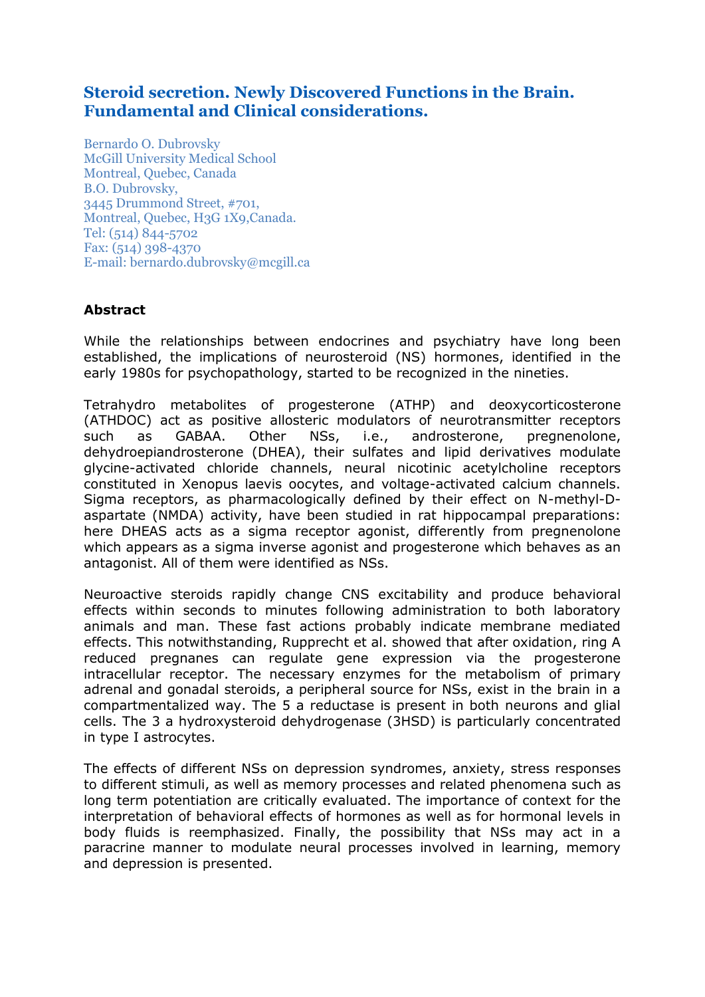# **Steroid secretion. Newly Discovered Functions in the Brain. Fundamental and Clinical considerations.**

Bernardo O. Dubrovsky McGill University Medical School Montreal, Quebec, Canada B.O. Dubrovsky, 3445 Drummond Street, #701, Montreal, Quebec, H3G 1X9,Canada. Tel: (514) 844-5702 Fax: (514) 398-4370 E-mail: bernardo.dubrovsky@mcgill.ca

## **Abstract**

While the relationships between endocrines and psychiatry have long been established, the implications of neurosteroid (NS) hormones, identified in the early 1980s for psychopathology, started to be recognized in the nineties.

Tetrahydro metabolites of progesterone (ATHP) and deoxycorticosterone (ATHDOC) act as positive allosteric modulators of neurotransmitter receptors such as GABAA. Other NSs, i.e., androsterone, pregnenolone, dehydroepiandrosterone (DHEA), their sulfates and lipid derivatives modulate glycine-activated chloride channels, neural nicotinic acetylcholine receptors constituted in Xenopus laevis oocytes, and voltage-activated calcium channels. Sigma receptors, as pharmacologically defined by their effect on N-methyl-Daspartate (NMDA) activity, have been studied in rat hippocampal preparations: here DHEAS acts as a sigma receptor agonist, differently from pregnenolone which appears as a sigma inverse agonist and progesterone which behaves as an antagonist. All of them were identified as NSs.

Neuroactive steroids rapidly change CNS excitability and produce behavioral effects within seconds to minutes following administration to both laboratory animals and man. These fast actions probably indicate membrane mediated effects. This notwithstanding, Rupprecht et al. showed that after oxidation, ring A reduced pregnanes can regulate gene expression via the progesterone intracellular receptor. The necessary enzymes for the metabolism of primary adrenal and gonadal steroids, a peripheral source for NSs, exist in the brain in a compartmentalized way. The 5 a reductase is present in both neurons and glial cells. The 3 a hydroxysteroid dehydrogenase (3HSD) is particularly concentrated in type I astrocytes.

The effects of different NSs on depression syndromes, anxiety, stress responses to different stimuli, as well as memory processes and related phenomena such as long term potentiation are critically evaluated. The importance of context for the interpretation of behavioral effects of hormones as well as for hormonal levels in body fluids is reemphasized. Finally, the possibility that NSs may act in a paracrine manner to modulate neural processes involved in learning, memory and depression is presented.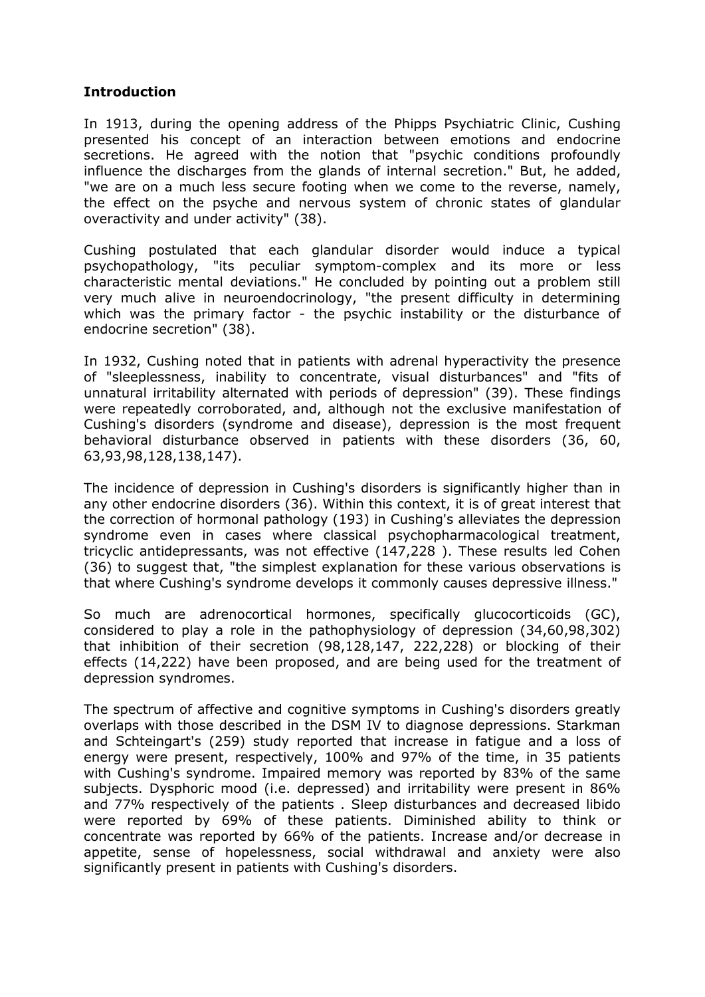#### **Introduction**

In 1913, during the opening address of the Phipps Psychiatric Clinic, Cushing presented his concept of an interaction between emotions and endocrine secretions. He agreed with the notion that "psychic conditions profoundly influence the discharges from the glands of internal secretion." But, he added, "we are on a much less secure footing when we come to the reverse, namely, the effect on the psyche and nervous system of chronic states of glandular overactivity and under activity" (38).

Cushing postulated that each glandular disorder would induce a typical psychopathology, "its peculiar symptom-complex and its more or less characteristic mental deviations." He concluded by pointing out a problem still very much alive in neuroendocrinology, "the present difficulty in determining which was the primary factor - the psychic instability or the disturbance of endocrine secretion" (38).

In 1932, Cushing noted that in patients with adrenal hyperactivity the presence of "sleeplessness, inability to concentrate, visual disturbances" and "fits of unnatural irritability alternated with periods of depression" (39). These findings were repeatedly corroborated, and, although not the exclusive manifestation of Cushing's disorders (syndrome and disease), depression is the most frequent behavioral disturbance observed in patients with these disorders (36, 60, 63,93,98,128,138,147).

The incidence of depression in Cushing's disorders is significantly higher than in any other endocrine disorders (36). Within this context, it is of great interest that the correction of hormonal pathology (193) in Cushing's alleviates the depression syndrome even in cases where classical psychopharmacological treatment, tricyclic antidepressants, was not effective (147,228 ). These results led Cohen (36) to suggest that, "the simplest explanation for these various observations is that where Cushing's syndrome develops it commonly causes depressive illness."

So much are adrenocortical hormones, specifically glucocorticoids (GC), considered to play a role in the pathophysiology of depression (34,60,98,302) that inhibition of their secretion (98,128,147, 222,228) or blocking of their effects (14,222) have been proposed, and are being used for the treatment of depression syndromes.

The spectrum of affective and cognitive symptoms in Cushing's disorders greatly overlaps with those described in the DSM IV to diagnose depressions. Starkman and Schteingart's (259) study reported that increase in fatigue and a loss of energy were present, respectively, 100% and 97% of the time, in 35 patients with Cushing's syndrome. Impaired memory was reported by 83% of the same subjects. Dysphoric mood (i.e. depressed) and irritability were present in 86% and 77% respectively of the patients . Sleep disturbances and decreased libido were reported by 69% of these patients. Diminished ability to think or concentrate was reported by 66% of the patients. Increase and/or decrease in appetite, sense of hopelessness, social withdrawal and anxiety were also significantly present in patients with Cushing's disorders.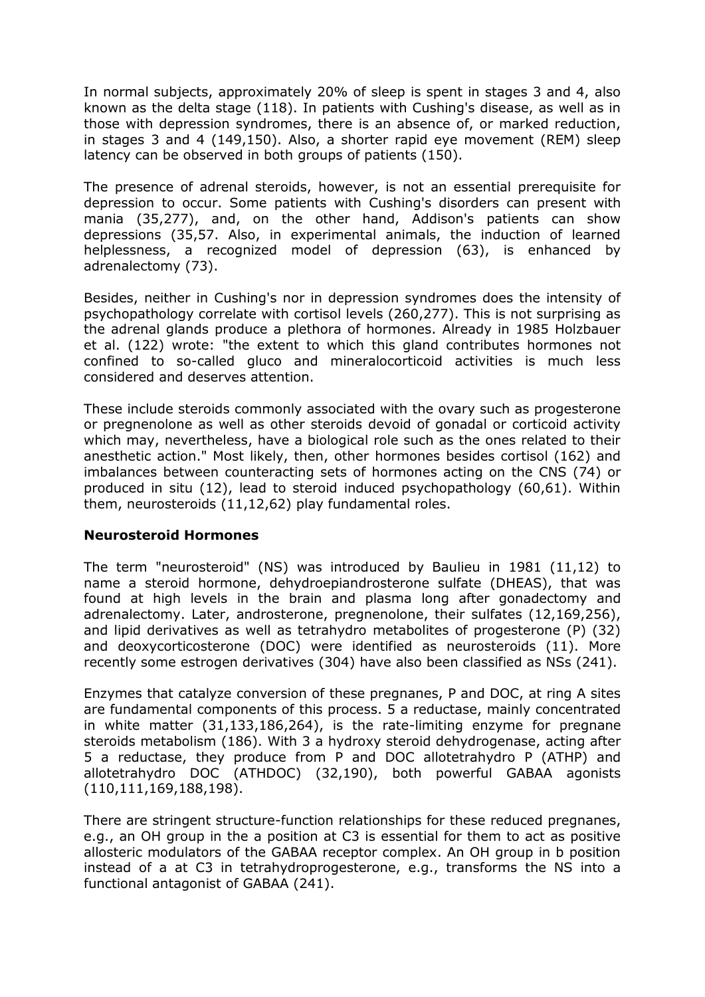In normal subjects, approximately 20% of sleep is spent in stages 3 and 4, also known as the delta stage (118). In patients with Cushing's disease, as well as in those with depression syndromes, there is an absence of, or marked reduction, in stages 3 and 4 (149,150). Also, a shorter rapid eye movement (REM) sleep latency can be observed in both groups of patients (150).

The presence of adrenal steroids, however, is not an essential prerequisite for depression to occur. Some patients with Cushing's disorders can present with mania (35,277), and, on the other hand, Addison's patients can show depressions (35,57. Also, in experimental animals, the induction of learned helplessness, a recognized model of depression (63), is enhanced by adrenalectomy (73).

Besides, neither in Cushing's nor in depression syndromes does the intensity of psychopathology correlate with cortisol levels (260,277). This is not surprising as the adrenal glands produce a plethora of hormones. Already in 1985 Holzbauer et al. (122) wrote: "the extent to which this gland contributes hormones not confined to so-called gluco and mineralocorticoid activities is much less considered and deserves attention.

These include steroids commonly associated with the ovary such as progesterone or pregnenolone as well as other steroids devoid of gonadal or corticoid activity which may, nevertheless, have a biological role such as the ones related to their anesthetic action." Most likely, then, other hormones besides cortisol (162) and imbalances between counteracting sets of hormones acting on the CNS (74) or produced in situ (12), lead to steroid induced psychopathology (60,61). Within them, neurosteroids (11,12,62) play fundamental roles.

#### **Neurosteroid Hormones**

The term "neurosteroid" (NS) was introduced by Baulieu in 1981 (11,12) to name a steroid hormone, dehydroepiandrosterone sulfate (DHEAS), that was found at high levels in the brain and plasma long after gonadectomy and adrenalectomy. Later, androsterone, pregnenolone, their sulfates (12,169,256), and lipid derivatives as well as tetrahydro metabolites of progesterone (P) (32) and deoxycorticosterone (DOC) were identified as neurosteroids (11). More recently some estrogen derivatives (304) have also been classified as NSs (241).

Enzymes that catalyze conversion of these pregnanes, P and DOC, at ring A sites are fundamental components of this process. 5 a reductase, mainly concentrated in white matter (31,133,186,264), is the rate-limiting enzyme for pregnane steroids metabolism (186). With 3 a hydroxy steroid dehydrogenase, acting after 5 a reductase, they produce from P and DOC allotetrahydro P (ATHP) and allotetrahydro DOC (ATHDOC) (32,190), both powerful GABAA agonists (110,111,169,188,198).

There are stringent structure-function relationships for these reduced pregnanes, e.g., an OH group in the a position at C3 is essential for them to act as positive allosteric modulators of the GABAA receptor complex. An OH group in b position instead of a at C3 in tetrahydroprogesterone, e.g., transforms the NS into a functional antagonist of GABAA (241).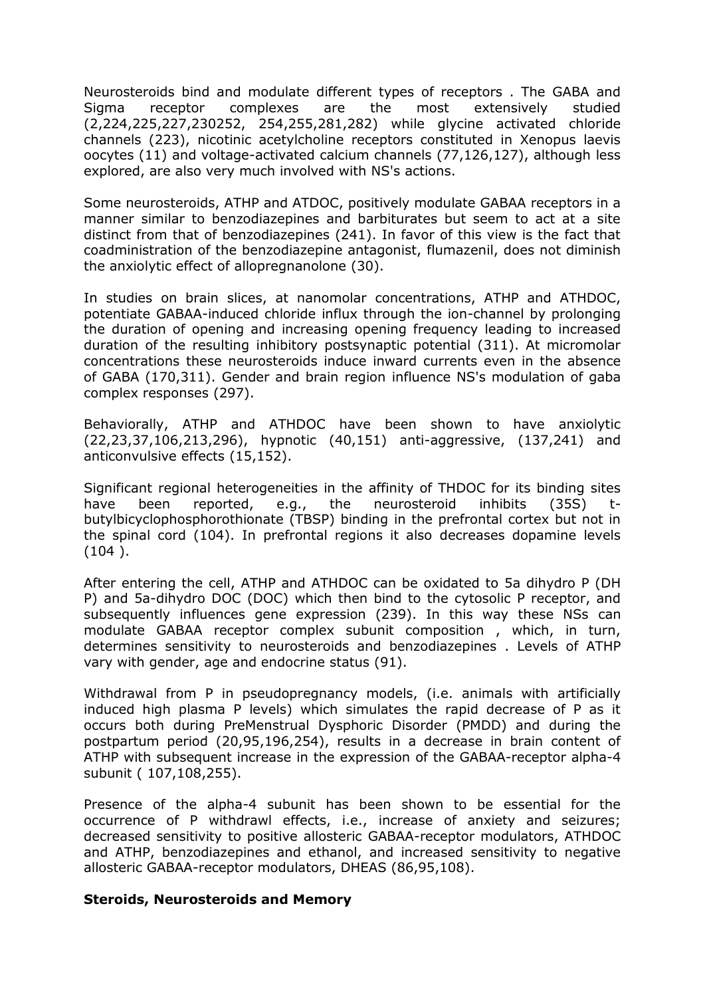Neurosteroids bind and modulate different types of receptors . The GABA and Sigma receptor complexes are the most extensively studied (2,224,225,227,230252, 254,255,281,282) while glycine activated chloride channels (223), nicotinic acetylcholine receptors constituted in Xenopus laevis oocytes (11) and voltage-activated calcium channels (77,126,127), although less explored, are also very much involved with NS's actions.

Some neurosteroids, ATHP and ATDOC, positively modulate GABAA receptors in a manner similar to benzodiazepines and barbiturates but seem to act at a site distinct from that of benzodiazepines (241). In favor of this view is the fact that coadministration of the benzodiazepine antagonist, flumazenil, does not diminish the anxiolytic effect of allopregnanolone (30).

In studies on brain slices, at nanomolar concentrations, ATHP and ATHDOC, potentiate GABAA-induced chloride influx through the ion-channel by prolonging the duration of opening and increasing opening frequency leading to increased duration of the resulting inhibitory postsynaptic potential (311). At micromolar concentrations these neurosteroids induce inward currents even in the absence of GABA (170,311). Gender and brain region influence NS's modulation of gaba complex responses (297).

Behaviorally, ATHP and ATHDOC have been shown to have anxiolytic (22,23,37,106,213,296), hypnotic (40,151) anti-aggressive, (137,241) and anticonvulsive effects (15,152).

Significant regional heterogeneities in the affinity of THDOC for its binding sites have been reported, e.g., the neurosteroid inhibits (35S) tbutylbicyclophosphorothionate (TBSP) binding in the prefrontal cortex but not in the spinal cord (104). In prefrontal regions it also decreases dopamine levels (104 ).

After entering the cell, ATHP and ATHDOC can be oxidated to 5a dihydro P (DH P) and 5a-dihydro DOC (DOC) which then bind to the cytosolic P receptor, and subsequently influences gene expression (239). In this way these NSs can modulate GABAA receptor complex subunit composition , which, in turn, determines sensitivity to neurosteroids and benzodiazepines . Levels of ATHP vary with gender, age and endocrine status (91).

Withdrawal from P in pseudopregnancy models, (i.e. animals with artificially induced high plasma P levels) which simulates the rapid decrease of P as it occurs both during PreMenstrual Dysphoric Disorder (PMDD) and during the postpartum period (20,95,196,254), results in a decrease in brain content of ATHP with subsequent increase in the expression of the GABAA-receptor alpha-4 subunit ( 107,108,255).

Presence of the alpha-4 subunit has been shown to be essential for the occurrence of P withdrawl effects, i.e., increase of anxiety and seizures; decreased sensitivity to positive allosteric GABAA-receptor modulators, ATHDOC and ATHP, benzodiazepines and ethanol, and increased sensitivity to negative allosteric GABAA-receptor modulators, DHEAS (86,95,108).

#### **Steroids, Neurosteroids and Memory**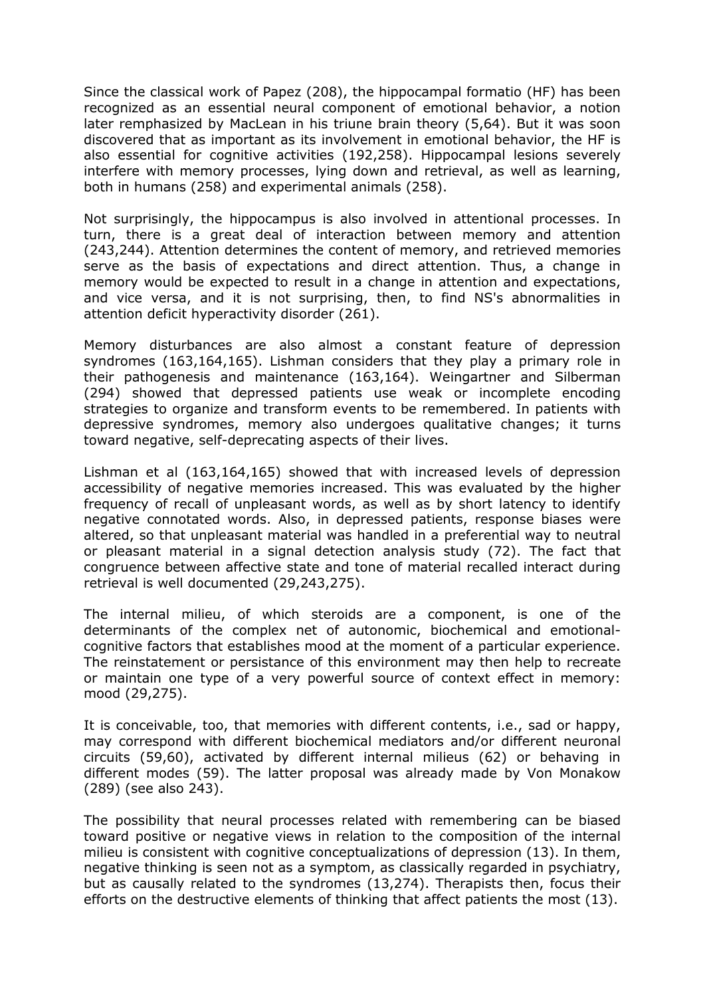Since the classical work of Papez (208), the hippocampal formatio (HF) has been recognized as an essential neural component of emotional behavior, a notion later remphasized by MacLean in his triune brain theory (5,64). But it was soon discovered that as important as its involvement in emotional behavior, the HF is also essential for cognitive activities (192,258). Hippocampal lesions severely interfere with memory processes, lying down and retrieval, as well as learning, both in humans (258) and experimental animals (258).

Not surprisingly, the hippocampus is also involved in attentional processes. In turn, there is a great deal of interaction between memory and attention (243,244). Attention determines the content of memory, and retrieved memories serve as the basis of expectations and direct attention. Thus, a change in memory would be expected to result in a change in attention and expectations, and vice versa, and it is not surprising, then, to find NS's abnormalities in attention deficit hyperactivity disorder (261).

Memory disturbances are also almost a constant feature of depression syndromes (163,164,165). Lishman considers that they play a primary role in their pathogenesis and maintenance (163,164). Weingartner and Silberman (294) showed that depressed patients use weak or incomplete encoding strategies to organize and transform events to be remembered. In patients with depressive syndromes, memory also undergoes qualitative changes; it turns toward negative, self-deprecating aspects of their lives.

Lishman et al (163,164,165) showed that with increased levels of depression accessibility of negative memories increased. This was evaluated by the higher frequency of recall of unpleasant words, as well as by short latency to identify negative connotated words. Also, in depressed patients, response biases were altered, so that unpleasant material was handled in a preferential way to neutral or pleasant material in a signal detection analysis study (72). The fact that congruence between affective state and tone of material recalled interact during retrieval is well documented (29,243,275).

The internal milieu, of which steroids are a component, is one of the determinants of the complex net of autonomic, biochemical and emotionalcognitive factors that establishes mood at the moment of a particular experience. The reinstatement or persistance of this environment may then help to recreate or maintain one type of a very powerful source of context effect in memory: mood (29,275).

It is conceivable, too, that memories with different contents, i.e., sad or happy, may correspond with different biochemical mediators and/or different neuronal circuits (59,60), activated by different internal milieus (62) or behaving in different modes (59). The latter proposal was already made by Von Monakow (289) (see also 243).

The possibility that neural processes related with remembering can be biased toward positive or negative views in relation to the composition of the internal milieu is consistent with cognitive conceptualizations of depression (13). In them, negative thinking is seen not as a symptom, as classically regarded in psychiatry, but as causally related to the syndromes (13,274). Therapists then, focus their efforts on the destructive elements of thinking that affect patients the most (13).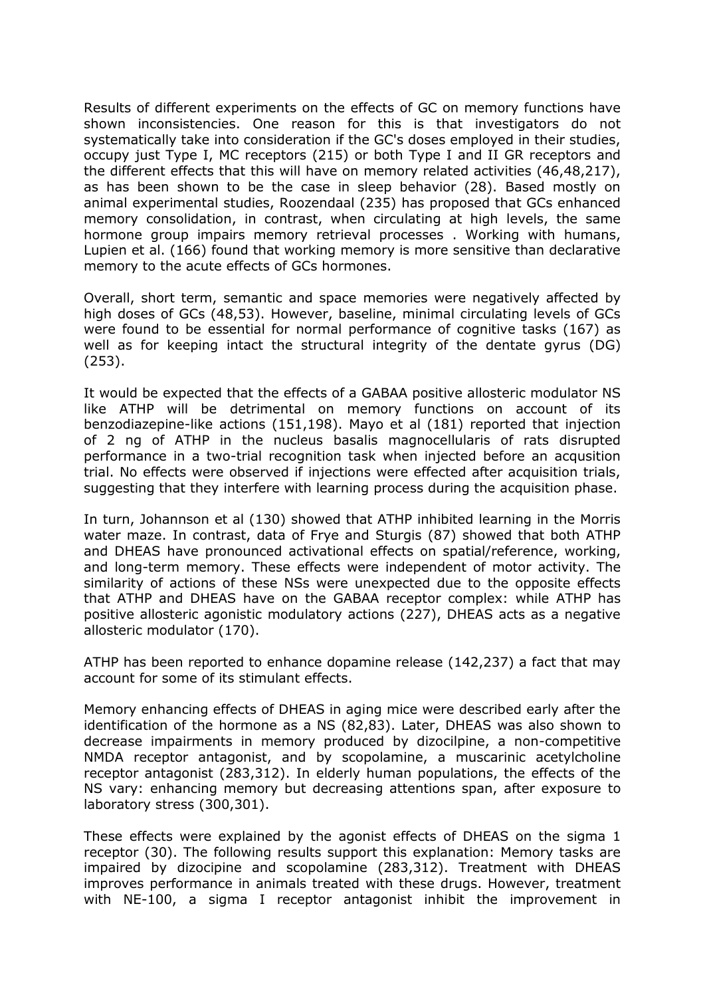Results of different experiments on the effects of GC on memory functions have shown inconsistencies. One reason for this is that investigators do not systematically take into consideration if the GC's doses employed in their studies, occupy just Type I, MC receptors (215) or both Type I and II GR receptors and the different effects that this will have on memory related activities (46,48,217), as has been shown to be the case in sleep behavior (28). Based mostly on animal experimental studies, Roozendaal (235) has proposed that GCs enhanced memory consolidation, in contrast, when circulating at high levels, the same hormone group impairs memory retrieval processes . Working with humans, Lupien et al. (166) found that working memory is more sensitive than declarative memory to the acute effects of GCs hormones.

Overall, short term, semantic and space memories were negatively affected by high doses of GCs (48,53). However, baseline, minimal circulating levels of GCs were found to be essential for normal performance of cognitive tasks (167) as well as for keeping intact the structural integrity of the dentate gyrus (DG) (253).

It would be expected that the effects of a GABAA positive allosteric modulator NS like ATHP will be detrimental on memory functions on account of its benzodiazepine-like actions (151,198). Mayo et al (181) reported that injection of 2 ng of ATHP in the nucleus basalis magnocellularis of rats disrupted performance in a two-trial recognition task when injected before an acqusition trial. No effects were observed if injections were effected after acquisition trials, suggesting that they interfere with learning process during the acquisition phase.

In turn, Johannson et al (130) showed that ATHP inhibited learning in the Morris water maze. In contrast, data of Frye and Sturgis (87) showed that both ATHP and DHEAS have pronounced activational effects on spatial/reference, working, and long-term memory. These effects were independent of motor activity. The similarity of actions of these NSs were unexpected due to the opposite effects that ATHP and DHEAS have on the GABAA receptor complex: while ATHP has positive allosteric agonistic modulatory actions (227), DHEAS acts as a negative allosteric modulator (170).

ATHP has been reported to enhance dopamine release (142,237) a fact that may account for some of its stimulant effects.

Memory enhancing effects of DHEAS in aging mice were described early after the identification of the hormone as a NS (82,83). Later, DHEAS was also shown to decrease impairments in memory produced by dizocilpine, a non-competitive NMDA receptor antagonist, and by scopolamine, a muscarinic acetylcholine receptor antagonist (283,312). In elderly human populations, the effects of the NS vary: enhancing memory but decreasing attentions span, after exposure to laboratory stress (300,301).

These effects were explained by the agonist effects of DHEAS on the sigma 1 receptor (30). The following results support this explanation: Memory tasks are impaired by dizocipine and scopolamine (283,312). Treatment with DHEAS improves performance in animals treated with these drugs. However, treatment with NE-100, a sigma I receptor antagonist inhibit the improvement in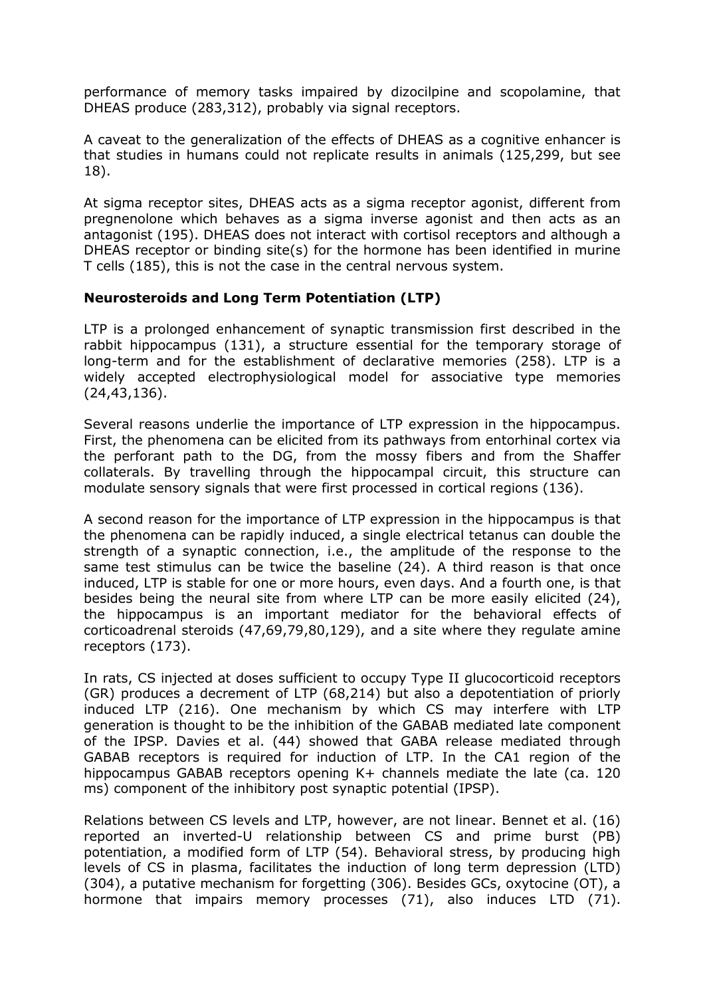performance of memory tasks impaired by dizocilpine and scopolamine, that DHEAS produce (283,312), probably via signal receptors.

A caveat to the generalization of the effects of DHEAS as a cognitive enhancer is that studies in humans could not replicate results in animals (125,299, but see 18).

At sigma receptor sites, DHEAS acts as a sigma receptor agonist, different from pregnenolone which behaves as a sigma inverse agonist and then acts as an antagonist (195). DHEAS does not interact with cortisol receptors and although a DHEAS receptor or binding site(s) for the hormone has been identified in murine T cells (185), this is not the case in the central nervous system.

#### **Neurosteroids and Long Term Potentiation (LTP)**

LTP is a prolonged enhancement of synaptic transmission first described in the rabbit hippocampus (131), a structure essential for the temporary storage of long-term and for the establishment of declarative memories (258). LTP is a widely accepted electrophysiological model for associative type memories (24,43,136).

Several reasons underlie the importance of LTP expression in the hippocampus. First, the phenomena can be elicited from its pathways from entorhinal cortex via the perforant path to the DG, from the mossy fibers and from the Shaffer collaterals. By travelling through the hippocampal circuit, this structure can modulate sensory signals that were first processed in cortical regions (136).

A second reason for the importance of LTP expression in the hippocampus is that the phenomena can be rapidly induced, a single electrical tetanus can double the strength of a synaptic connection, i.e., the amplitude of the response to the same test stimulus can be twice the baseline (24). A third reason is that once induced, LTP is stable for one or more hours, even days. And a fourth one, is that besides being the neural site from where LTP can be more easily elicited (24), the hippocampus is an important mediator for the behavioral effects of corticoadrenal steroids (47,69,79,80,129), and a site where they regulate amine receptors (173).

In rats, CS injected at doses sufficient to occupy Type II glucocorticoid receptors (GR) produces a decrement of LTP (68,214) but also a depotentiation of priorly induced LTP (216). One mechanism by which CS may interfere with LTP generation is thought to be the inhibition of the GABAB mediated late component of the IPSP. Davies et al. (44) showed that GABA release mediated through GABAB receptors is required for induction of LTP. In the CA1 region of the hippocampus GABAB receptors opening K+ channels mediate the late (ca. 120 ms) component of the inhibitory post synaptic potential (IPSP).

Relations between CS levels and LTP, however, are not linear. Bennet et al. (16) reported an inverted-U relationship between CS and prime burst (PB) potentiation, a modified form of LTP (54). Behavioral stress, by producing high levels of CS in plasma, facilitates the induction of long term depression (LTD) (304), a putative mechanism for forgetting (306). Besides GCs, oxytocine (OT), a hormone that impairs memory processes (71), also induces LTD (71).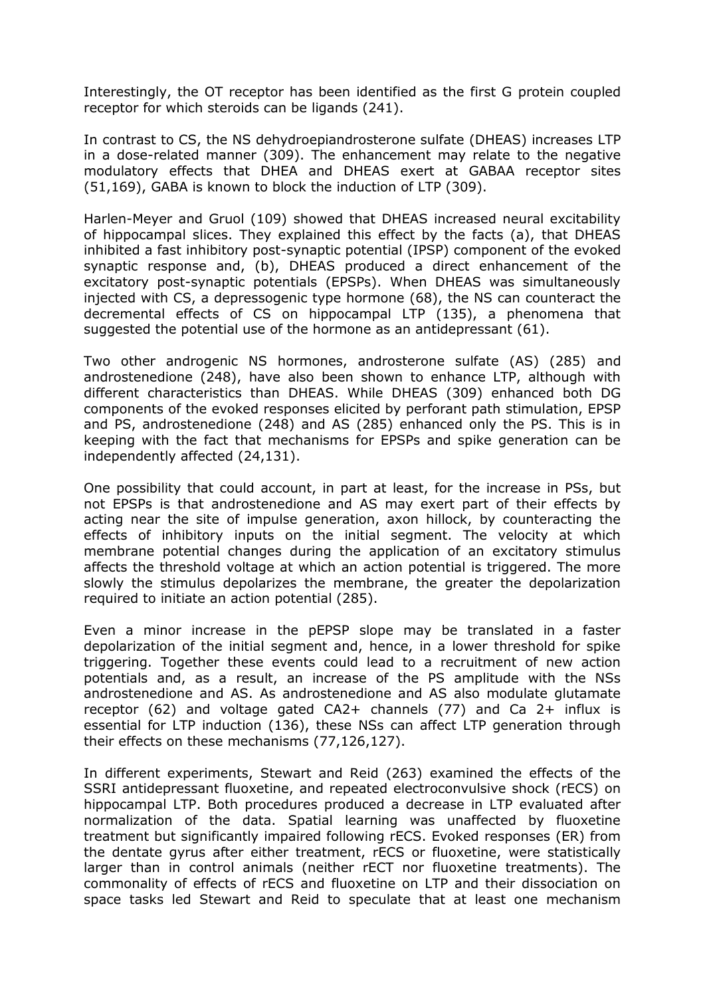Interestingly, the OT receptor has been identified as the first G protein coupled receptor for which steroids can be ligands (241).

In contrast to CS, the NS dehydroepiandrosterone sulfate (DHEAS) increases LTP in a dose-related manner (309). The enhancement may relate to the negative modulatory effects that DHEA and DHEAS exert at GABAA receptor sites (51,169), GABA is known to block the induction of LTP (309).

Harlen-Meyer and Gruol (109) showed that DHEAS increased neural excitability of hippocampal slices. They explained this effect by the facts (a), that DHEAS inhibited a fast inhibitory post-synaptic potential (IPSP) component of the evoked synaptic response and, (b), DHEAS produced a direct enhancement of the excitatory post-synaptic potentials (EPSPs). When DHEAS was simultaneously injected with CS, a depressogenic type hormone (68), the NS can counteract the decremental effects of CS on hippocampal LTP (135), a phenomena that suggested the potential use of the hormone as an antidepressant (61).

Two other androgenic NS hormones, androsterone sulfate (AS) (285) and androstenedione (248), have also been shown to enhance LTP, although with different characteristics than DHEAS. While DHEAS (309) enhanced both DG components of the evoked responses elicited by perforant path stimulation, EPSP and PS, androstenedione (248) and AS (285) enhanced only the PS. This is in keeping with the fact that mechanisms for EPSPs and spike generation can be independently affected (24,131).

One possibility that could account, in part at least, for the increase in PSs, but not EPSPs is that androstenedione and AS may exert part of their effects by acting near the site of impulse generation, axon hillock, by counteracting the effects of inhibitory inputs on the initial segment. The velocity at which membrane potential changes during the application of an excitatory stimulus affects the threshold voltage at which an action potential is triggered. The more slowly the stimulus depolarizes the membrane, the greater the depolarization required to initiate an action potential (285).

Even a minor increase in the pEPSP slope may be translated in a faster depolarization of the initial segment and, hence, in a lower threshold for spike triggering. Together these events could lead to a recruitment of new action potentials and, as a result, an increase of the PS amplitude with the NSs androstenedione and AS. As androstenedione and AS also modulate glutamate receptor (62) and voltage gated CA2+ channels (77) and Ca 2+ influx is essential for LTP induction (136), these NSs can affect LTP generation through their effects on these mechanisms (77,126,127).

In different experiments, Stewart and Reid (263) examined the effects of the SSRI antidepressant fluoxetine, and repeated electroconvulsive shock (rECS) on hippocampal LTP. Both procedures produced a decrease in LTP evaluated after normalization of the data. Spatial learning was unaffected by fluoxetine treatment but significantly impaired following rECS. Evoked responses (ER) from the dentate gyrus after either treatment, rECS or fluoxetine, were statistically larger than in control animals (neither rECT nor fluoxetine treatments). The commonality of effects of rECS and fluoxetine on LTP and their dissociation on space tasks led Stewart and Reid to speculate that at least one mechanism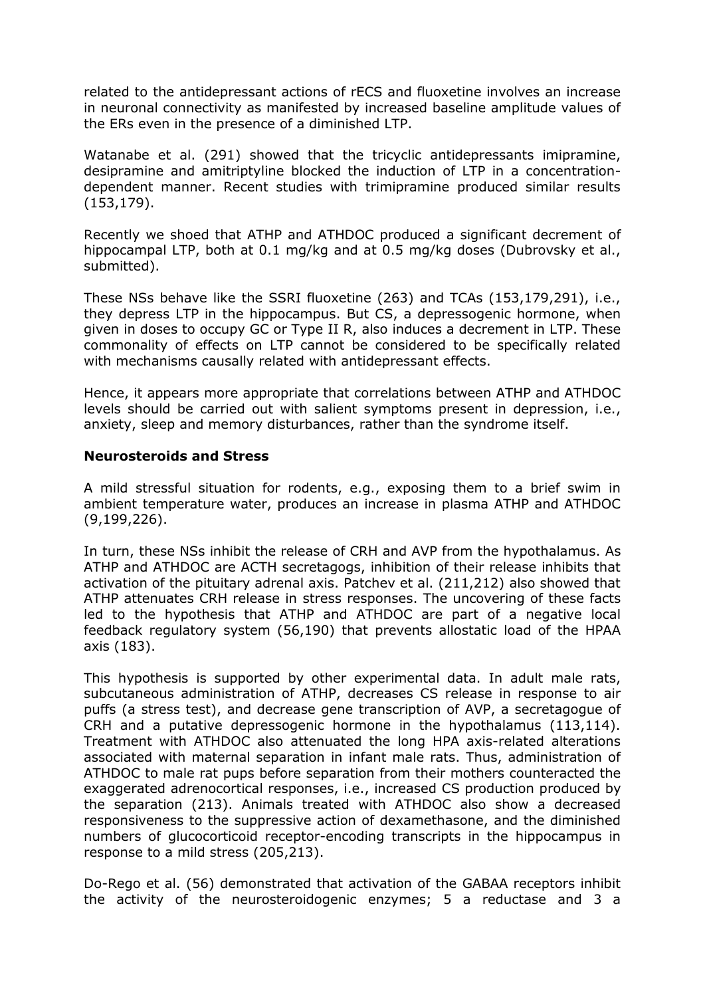related to the antidepressant actions of rECS and fluoxetine involves an increase in neuronal connectivity as manifested by increased baseline amplitude values of the ERs even in the presence of a diminished LTP.

Watanabe et al. (291) showed that the tricyclic antidepressants imipramine, desipramine and amitriptyline blocked the induction of LTP in a concentrationdependent manner. Recent studies with trimipramine produced similar results (153,179).

Recently we shoed that ATHP and ATHDOC produced a significant decrement of hippocampal LTP, both at 0.1 mg/kg and at 0.5 mg/kg doses (Dubrovsky et al., submitted).

These NSs behave like the SSRI fluoxetine (263) and TCAs (153,179,291), i.e., they depress LTP in the hippocampus. But CS, a depressogenic hormone, when given in doses to occupy GC or Type II R, also induces a decrement in LTP. These commonality of effects on LTP cannot be considered to be specifically related with mechanisms causally related with antidepressant effects.

Hence, it appears more appropriate that correlations between ATHP and ATHDOC levels should be carried out with salient symptoms present in depression, i.e., anxiety, sleep and memory disturbances, rather than the syndrome itself.

#### **Neurosteroids and Stress**

A mild stressful situation for rodents, e.g., exposing them to a brief swim in ambient temperature water, produces an increase in plasma ATHP and ATHDOC (9,199,226).

In turn, these NSs inhibit the release of CRH and AVP from the hypothalamus. As ATHP and ATHDOC are ACTH secretagogs, inhibition of their release inhibits that activation of the pituitary adrenal axis. Patchev et al. (211,212) also showed that ATHP attenuates CRH release in stress responses. The uncovering of these facts led to the hypothesis that ATHP and ATHDOC are part of a negative local feedback regulatory system (56,190) that prevents allostatic load of the HPAA axis (183).

This hypothesis is supported by other experimental data. In adult male rats, subcutaneous administration of ATHP, decreases CS release in response to air puffs (a stress test), and decrease gene transcription of AVP, a secretagogue of CRH and a putative depressogenic hormone in the hypothalamus (113,114). Treatment with ATHDOC also attenuated the long HPA axis-related alterations associated with maternal separation in infant male rats. Thus, administration of ATHDOC to male rat pups before separation from their mothers counteracted the exaggerated adrenocortical responses, i.e., increased CS production produced by the separation (213). Animals treated with ATHDOC also show a decreased responsiveness to the suppressive action of dexamethasone, and the diminished numbers of glucocorticoid receptor-encoding transcripts in the hippocampus in response to a mild stress (205,213).

Do-Rego et al. (56) demonstrated that activation of the GABAA receptors inhibit the activity of the neurosteroidogenic enzymes; 5 a reductase and 3 a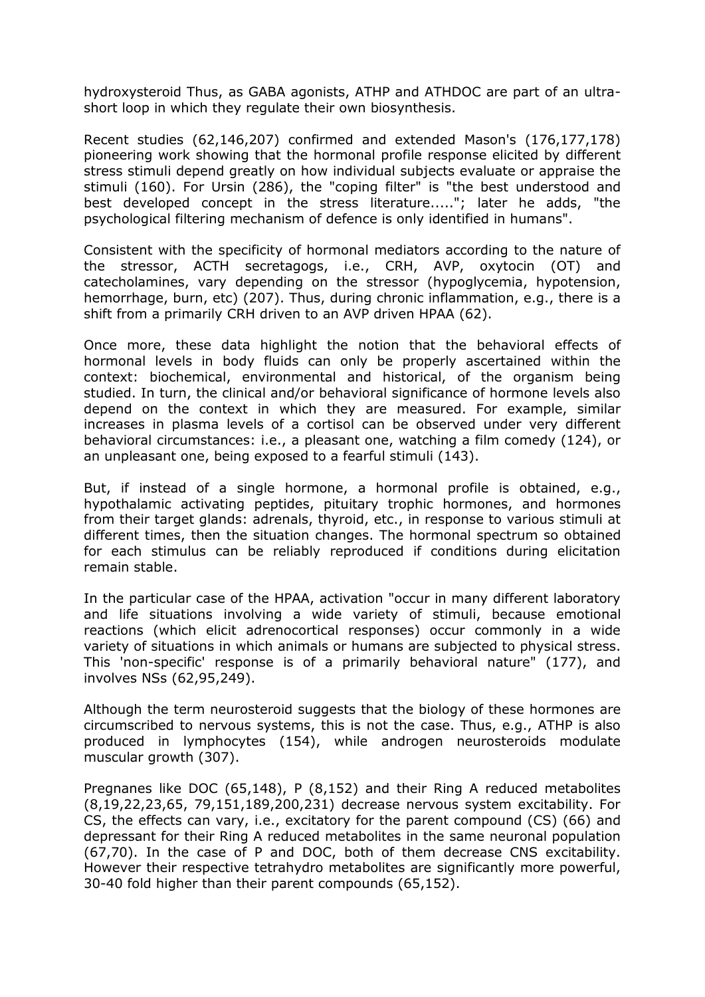hydroxysteroid Thus, as GABA agonists, ATHP and ATHDOC are part of an ultrashort loop in which they regulate their own biosynthesis.

Recent studies (62,146,207) confirmed and extended Mason's (176,177,178) pioneering work showing that the hormonal profile response elicited by different stress stimuli depend greatly on how individual subjects evaluate or appraise the stimuli (160). For Ursin (286), the "coping filter" is "the best understood and best developed concept in the stress literature....."; later he adds, "the psychological filtering mechanism of defence is only identified in humans".

Consistent with the specificity of hormonal mediators according to the nature of the stressor, ACTH secretagogs, i.e., CRH, AVP, oxytocin (OT) and catecholamines, vary depending on the stressor (hypoglycemia, hypotension, hemorrhage, burn, etc) (207). Thus, during chronic inflammation, e.g., there is a shift from a primarily CRH driven to an AVP driven HPAA (62).

Once more, these data highlight the notion that the behavioral effects of hormonal levels in body fluids can only be properly ascertained within the context: biochemical, environmental and historical, of the organism being studied. In turn, the clinical and/or behavioral significance of hormone levels also depend on the context in which they are measured. For example, similar increases in plasma levels of a cortisol can be observed under very different behavioral circumstances: i.e., a pleasant one, watching a film comedy (124), or an unpleasant one, being exposed to a fearful stimuli (143).

But, if instead of a single hormone, a hormonal profile is obtained, e.g., hypothalamic activating peptides, pituitary trophic hormones, and hormones from their target glands: adrenals, thyroid, etc., in response to various stimuli at different times, then the situation changes. The hormonal spectrum so obtained for each stimulus can be reliably reproduced if conditions during elicitation remain stable.

In the particular case of the HPAA, activation "occur in many different laboratory and life situations involving a wide variety of stimuli, because emotional reactions (which elicit adrenocortical responses) occur commonly in a wide variety of situations in which animals or humans are subjected to physical stress. This 'non-specific' response is of a primarily behavioral nature" (177), and involves NSs (62,95,249).

Although the term neurosteroid suggests that the biology of these hormones are circumscribed to nervous systems, this is not the case. Thus, e.g., ATHP is also produced in lymphocytes (154), while androgen neurosteroids modulate muscular growth (307).

Pregnanes like DOC (65,148), P (8,152) and their Ring A reduced metabolites (8,19,22,23,65, 79,151,189,200,231) decrease nervous system excitability. For CS, the effects can vary, i.e., excitatory for the parent compound (CS) (66) and depressant for their Ring A reduced metabolites in the same neuronal population (67,70). In the case of P and DOC, both of them decrease CNS excitability. However their respective tetrahydro metabolites are significantly more powerful, 30-40 fold higher than their parent compounds (65,152).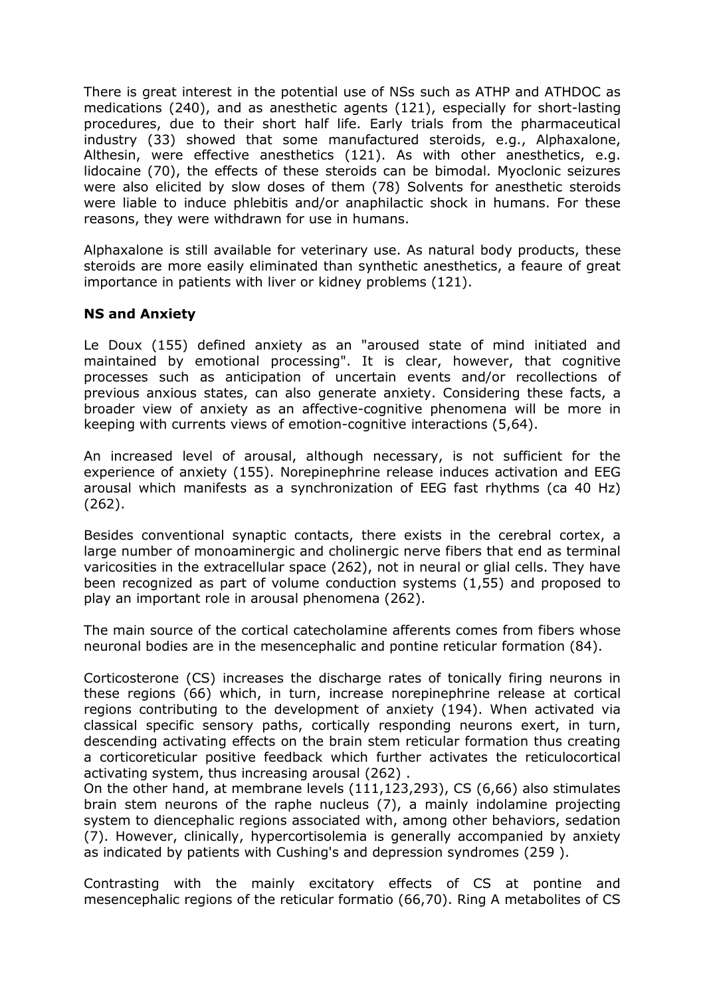There is great interest in the potential use of NSs such as ATHP and ATHDOC as medications (240), and as anesthetic agents (121), especially for short-lasting procedures, due to their short half life. Early trials from the pharmaceutical industry (33) showed that some manufactured steroids, e.g., Alphaxalone, Althesin, were effective anesthetics (121). As with other anesthetics, e.g. lidocaine (70), the effects of these steroids can be bimodal. Myoclonic seizures were also elicited by slow doses of them (78) Solvents for anesthetic steroids were liable to induce phlebitis and/or anaphilactic shock in humans. For these reasons, they were withdrawn for use in humans.

Alphaxalone is still available for veterinary use. As natural body products, these steroids are more easily eliminated than synthetic anesthetics, a feaure of great importance in patients with liver or kidney problems (121).

## **NS and Anxiety**

Le Doux (155) defined anxiety as an "aroused state of mind initiated and maintained by emotional processing". It is clear, however, that cognitive processes such as anticipation of uncertain events and/or recollections of previous anxious states, can also generate anxiety. Considering these facts, a broader view of anxiety as an affective-cognitive phenomena will be more in keeping with currents views of emotion-cognitive interactions (5,64).

An increased level of arousal, although necessary, is not sufficient for the experience of anxiety (155). Norepinephrine release induces activation and EEG arousal which manifests as a synchronization of EEG fast rhythms (ca 40 Hz) (262).

Besides conventional synaptic contacts, there exists in the cerebral cortex, a large number of monoaminergic and cholinergic nerve fibers that end as terminal varicosities in the extracellular space (262), not in neural or glial cells. They have been recognized as part of volume conduction systems (1,55) and proposed to play an important role in arousal phenomena (262).

The main source of the cortical catecholamine afferents comes from fibers whose neuronal bodies are in the mesencephalic and pontine reticular formation (84).

Corticosterone (CS) increases the discharge rates of tonically firing neurons in these regions (66) which, in turn, increase norepinephrine release at cortical regions contributing to the development of anxiety (194). When activated via classical specific sensory paths, cortically responding neurons exert, in turn, descending activating effects on the brain stem reticular formation thus creating a corticoreticular positive feedback which further activates the reticulocortical activating system, thus increasing arousal (262) .

On the other hand, at membrane levels (111,123,293), CS (6,66) also stimulates brain stem neurons of the raphe nucleus (7), a mainly indolamine projecting system to diencephalic regions associated with, among other behaviors, sedation (7). However, clinically, hypercortisolemia is generally accompanied by anxiety as indicated by patients with Cushing's and depression syndromes (259 ).

Contrasting with the mainly excitatory effects of CS at pontine and mesencephalic regions of the reticular formatio (66,70). Ring A metabolites of CS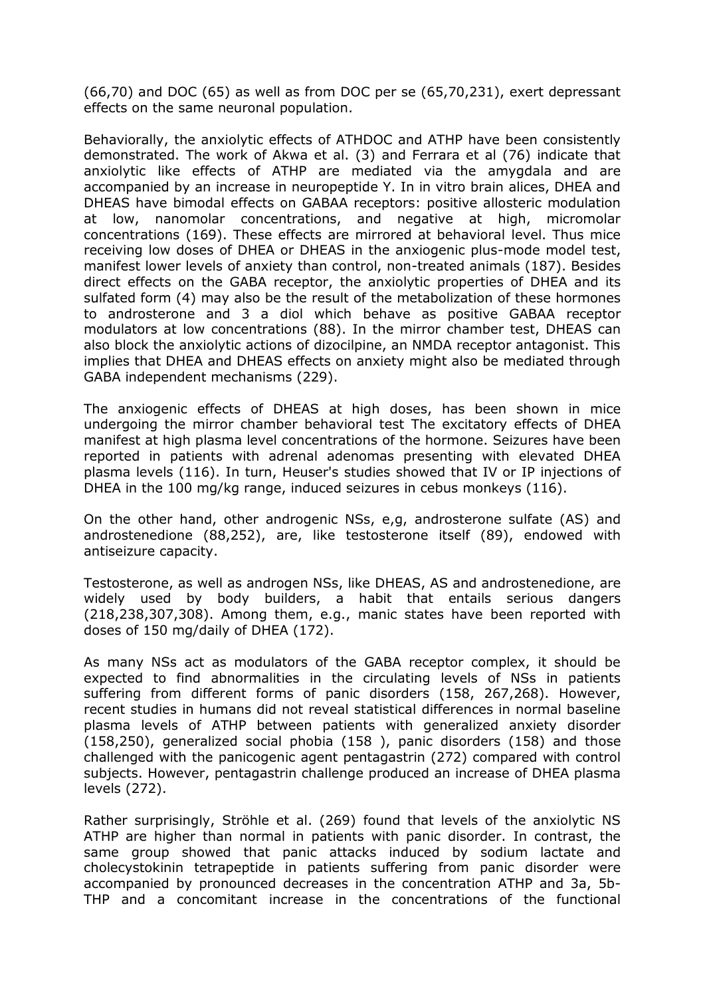(66,70) and DOC (65) as well as from DOC per se (65,70,231), exert depressant effects on the same neuronal population.

Behaviorally, the anxiolytic effects of ATHDOC and ATHP have been consistently demonstrated. The work of Akwa et al. (3) and Ferrara et al (76) indicate that anxiolytic like effects of ATHP are mediated via the amygdala and are accompanied by an increase in neuropeptide Y. In in vitro brain alices, DHEA and DHEAS have bimodal effects on GABAA receptors: positive allosteric modulation at low, nanomolar concentrations, and negative at high, micromolar concentrations (169). These effects are mirrored at behavioral level. Thus mice receiving low doses of DHEA or DHEAS in the anxiogenic plus-mode model test, manifest lower levels of anxiety than control, non-treated animals (187). Besides direct effects on the GABA receptor, the anxiolytic properties of DHEA and its sulfated form (4) may also be the result of the metabolization of these hormones to androsterone and 3 a diol which behave as positive GABAA receptor modulators at low concentrations (88). In the mirror chamber test, DHEAS can also block the anxiolytic actions of dizocilpine, an NMDA receptor antagonist. This implies that DHEA and DHEAS effects on anxiety might also be mediated through GABA independent mechanisms (229).

The anxiogenic effects of DHEAS at high doses, has been shown in mice undergoing the mirror chamber behavioral test The excitatory effects of DHEA manifest at high plasma level concentrations of the hormone. Seizures have been reported in patients with adrenal adenomas presenting with elevated DHEA plasma levels (116). In turn, Heuser's studies showed that IV or IP injections of DHEA in the 100 mg/kg range, induced seizures in cebus monkeys (116).

On the other hand, other androgenic NSs, e,g, androsterone sulfate (AS) and androstenedione (88,252), are, like testosterone itself (89), endowed with antiseizure capacity.

Testosterone, as well as androgen NSs, like DHEAS, AS and androstenedione, are widely used by body builders, a habit that entails serious dangers (218,238,307,308). Among them, e.g., manic states have been reported with doses of 150 mg/daily of DHEA (172).

As many NSs act as modulators of the GABA receptor complex, it should be expected to find abnormalities in the circulating levels of NSs in patients suffering from different forms of panic disorders (158, 267,268). However, recent studies in humans did not reveal statistical differences in normal baseline plasma levels of ATHP between patients with generalized anxiety disorder (158,250), generalized social phobia (158 ), panic disorders (158) and those challenged with the panicogenic agent pentagastrin (272) compared with control subjects. However, pentagastrin challenge produced an increase of DHEA plasma levels (272).

Rather surprisingly, Ströhle et al. (269) found that levels of the anxiolytic NS ATHP are higher than normal in patients with panic disorder. In contrast, the same group showed that panic attacks induced by sodium lactate and cholecystokinin tetrapeptide in patients suffering from panic disorder were accompanied by pronounced decreases in the concentration ATHP and 3a, 5b-THP and a concomitant increase in the concentrations of the functional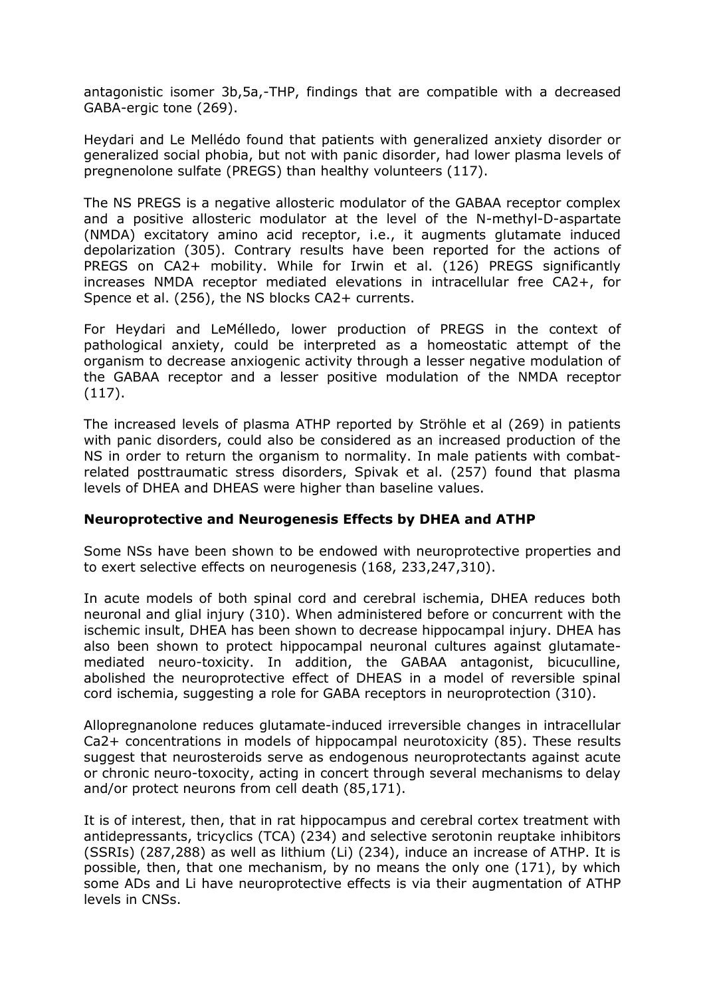antagonistic isomer 3b,5a,-THP, findings that are compatible with a decreased GABA-ergic tone (269).

Heydari and Le Mellédo found that patients with generalized anxiety disorder or generalized social phobia, but not with panic disorder, had lower plasma levels of pregnenolone sulfate (PREGS) than healthy volunteers (117).

The NS PREGS is a negative allosteric modulator of the GABAA receptor complex and a positive allosteric modulator at the level of the N-methyl-D-aspartate (NMDA) excitatory amino acid receptor, i.e., it augments glutamate induced depolarization (305). Contrary results have been reported for the actions of PREGS on CA2+ mobility. While for Irwin et al. (126) PREGS significantly increases NMDA receptor mediated elevations in intracellular free CA2+, for Spence et al. (256), the NS blocks CA2+ currents.

For Heydari and LeMélledo, lower production of PREGS in the context of pathological anxiety, could be interpreted as a homeostatic attempt of the organism to decrease anxiogenic activity through a lesser negative modulation of the GABAA receptor and a lesser positive modulation of the NMDA receptor (117).

The increased levels of plasma ATHP reported by Ströhle et al (269) in patients with panic disorders, could also be considered as an increased production of the NS in order to return the organism to normality. In male patients with combatrelated posttraumatic stress disorders, Spivak et al. (257) found that plasma levels of DHEA and DHEAS were higher than baseline values.

#### **Neuroprotective and Neurogenesis Effects by DHEA and ATHP**

Some NSs have been shown to be endowed with neuroprotective properties and to exert selective effects on neurogenesis (168, 233,247,310).

In acute models of both spinal cord and cerebral ischemia, DHEA reduces both neuronal and glial injury (310). When administered before or concurrent with the ischemic insult, DHEA has been shown to decrease hippocampal injury. DHEA has also been shown to protect hippocampal neuronal cultures against glutamatemediated neuro-toxicity. In addition, the GABAA antagonist, bicuculline, abolished the neuroprotective effect of DHEAS in a model of reversible spinal cord ischemia, suggesting a role for GABA receptors in neuroprotection (310).

Allopregnanolone reduces glutamate-induced irreversible changes in intracellular Ca2+ concentrations in models of hippocampal neurotoxicity (85). These results suggest that neurosteroids serve as endogenous neuroprotectants against acute or chronic neuro-toxocity, acting in concert through several mechanisms to delay and/or protect neurons from cell death (85,171).

It is of interest, then, that in rat hippocampus and cerebral cortex treatment with antidepressants, tricyclics (TCA) (234) and selective serotonin reuptake inhibitors (SSRIs) (287,288) as well as lithium (Li) (234), induce an increase of ATHP. It is possible, then, that one mechanism, by no means the only one (171), by which some ADs and Li have neuroprotective effects is via their augmentation of ATHP levels in CNSs.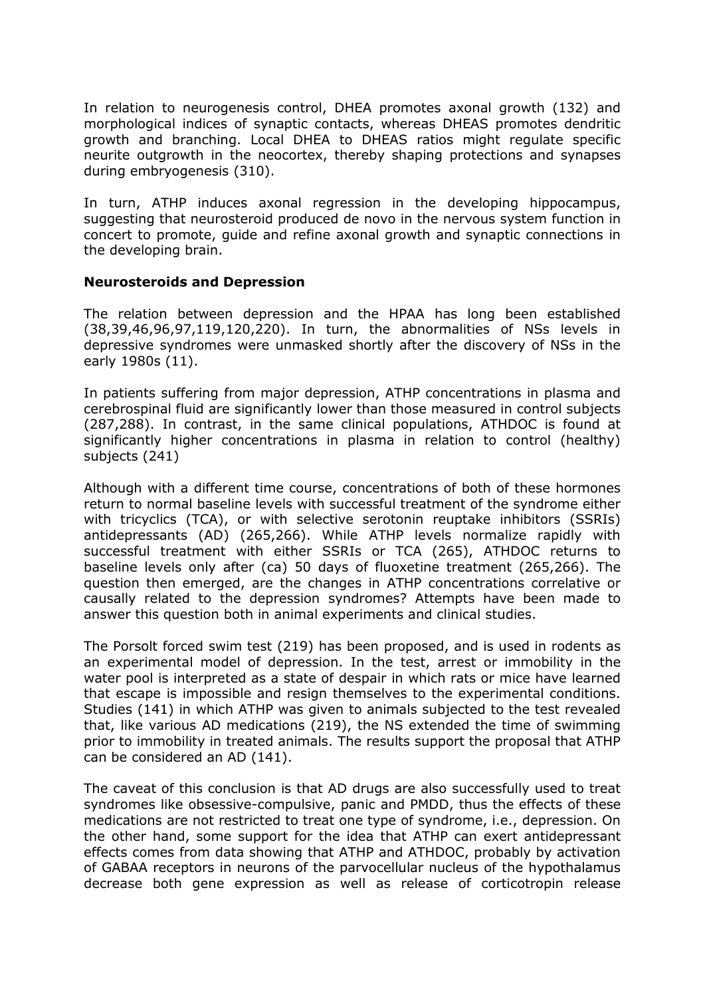In relation to neurogenesis control, DHEA promotes axonal growth (132) and morphological indices of synaptic contacts, whereas DHEAS promotes dendritic growth and branching. Local DHEA to DHEAS ratios might regulate specific neurite outgrowth in the neocortex, thereby shaping protections and synapses during embryogenesis (310).

In turn, ATHP induces axonal regression in the developing hippocampus, suggesting that neurosteroid produced de novo in the nervous system function in concert to promote, guide and refine axonal growth and synaptic connections in the developing brain.

#### **Neurosteroids and Depression**

The relation between depression and the HPAA has long been established (38,39,46,96,97,119,120,220). In turn, the abnormalities of NSs levels in depressive syndromes were unmasked shortly after the discovery of NSs in the early 1980s (11).

In patients suffering from major depression, ATHP concentrations in plasma and cerebrospinal fluid are significantly lower than those measured in control subjects (287,288). In contrast, in the same clinical populations, ATHDOC is found at significantly higher concentrations in plasma in relation to control (healthy) subjects (241)

Although with a different time course, concentrations of both of these hormones return to normal baseline levels with successful treatment of the syndrome either with tricyclics (TCA), or with selective serotonin reuptake inhibitors (SSRIs) antidepressants (AD) (265,266). While ATHP levels normalize rapidly with successful treatment with either SSRIs or TCA (265), ATHDOC returns to baseline levels only after (ca) 50 days of fluoxetine treatment (265,266). The question then emerged, are the changes in ATHP concentrations correlative or causally related to the depression syndromes? Attempts have been made to answer this question both in animal experiments and clinical studies.

The Porsolt forced swim test (219) has been proposed, and is used in rodents as an experimental model of depression. In the test, arrest or immobility in the water pool is interpreted as a state of despair in which rats or mice have learned that escape is impossible and resign themselves to the experimental conditions. Studies (141) in which ATHP was given to animals subjected to the test revealed that, like various AD medications (219), the NS extended the time of swimming prior to immobility in treated animals. The results support the proposal that ATHP can be considered an AD (141).

The caveat of this conclusion is that AD drugs are also successfully used to treat syndromes like obsessive-compulsive, panic and PMDD, thus the effects of these medications are not restricted to treat one type of syndrome, i.e., depression. On the other hand, some support for the idea that ATHP can exert antidepressant effects comes from data showing that ATHP and ATHDOC, probably by activation of GABAA receptors in neurons of the parvocellular nucleus of the hypothalamus decrease both gene expression as well as release of corticotropin release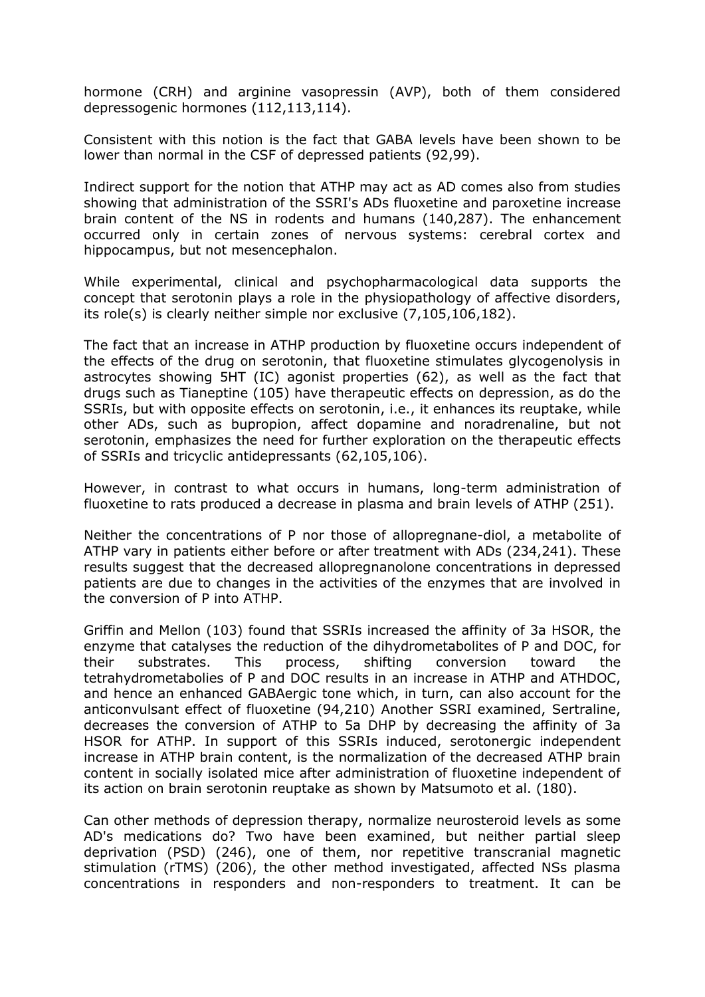hormone (CRH) and arginine vasopressin (AVP), both of them considered depressogenic hormones (112,113,114).

Consistent with this notion is the fact that GABA levels have been shown to be lower than normal in the CSF of depressed patients (92,99).

Indirect support for the notion that ATHP may act as AD comes also from studies showing that administration of the SSRI's ADs fluoxetine and paroxetine increase brain content of the NS in rodents and humans (140,287). The enhancement occurred only in certain zones of nervous systems: cerebral cortex and hippocampus, but not mesencephalon.

While experimental, clinical and psychopharmacological data supports the concept that serotonin plays a role in the physiopathology of affective disorders, its role(s) is clearly neither simple nor exclusive (7,105,106,182).

The fact that an increase in ATHP production by fluoxetine occurs independent of the effects of the drug on serotonin, that fluoxetine stimulates glycogenolysis in astrocytes showing 5HT (IC) agonist properties (62), as well as the fact that drugs such as Tianeptine (105) have therapeutic effects on depression, as do the SSRIs, but with opposite effects on serotonin, i.e., it enhances its reuptake, while other ADs, such as bupropion, affect dopamine and noradrenaline, but not serotonin, emphasizes the need for further exploration on the therapeutic effects of SSRIs and tricyclic antidepressants (62,105,106).

However, in contrast to what occurs in humans, long-term administration of fluoxetine to rats produced a decrease in plasma and brain levels of ATHP (251).

Neither the concentrations of P nor those of allopregnane-diol, a metabolite of ATHP vary in patients either before or after treatment with ADs (234,241). These results suggest that the decreased allopregnanolone concentrations in depressed patients are due to changes in the activities of the enzymes that are involved in the conversion of P into ATHP.

Griffin and Mellon (103) found that SSRIs increased the affinity of 3a HSOR, the enzyme that catalyses the reduction of the dihydrometabolites of P and DOC, for their substrates. This process, shifting conversion toward the tetrahydrometabolies of P and DOC results in an increase in ATHP and ATHDOC, and hence an enhanced GABAergic tone which, in turn, can also account for the anticonvulsant effect of fluoxetine (94,210) Another SSRI examined, Sertraline, decreases the conversion of ATHP to 5a DHP by decreasing the affinity of 3a HSOR for ATHP. In support of this SSRIs induced, serotonergic independent increase in ATHP brain content, is the normalization of the decreased ATHP brain content in socially isolated mice after administration of fluoxetine independent of its action on brain serotonin reuptake as shown by Matsumoto et al. (180).

Can other methods of depression therapy, normalize neurosteroid levels as some AD's medications do? Two have been examined, but neither partial sleep deprivation (PSD) (246), one of them, nor repetitive transcranial magnetic stimulation (rTMS) (206), the other method investigated, affected NSs plasma concentrations in responders and non-responders to treatment. It can be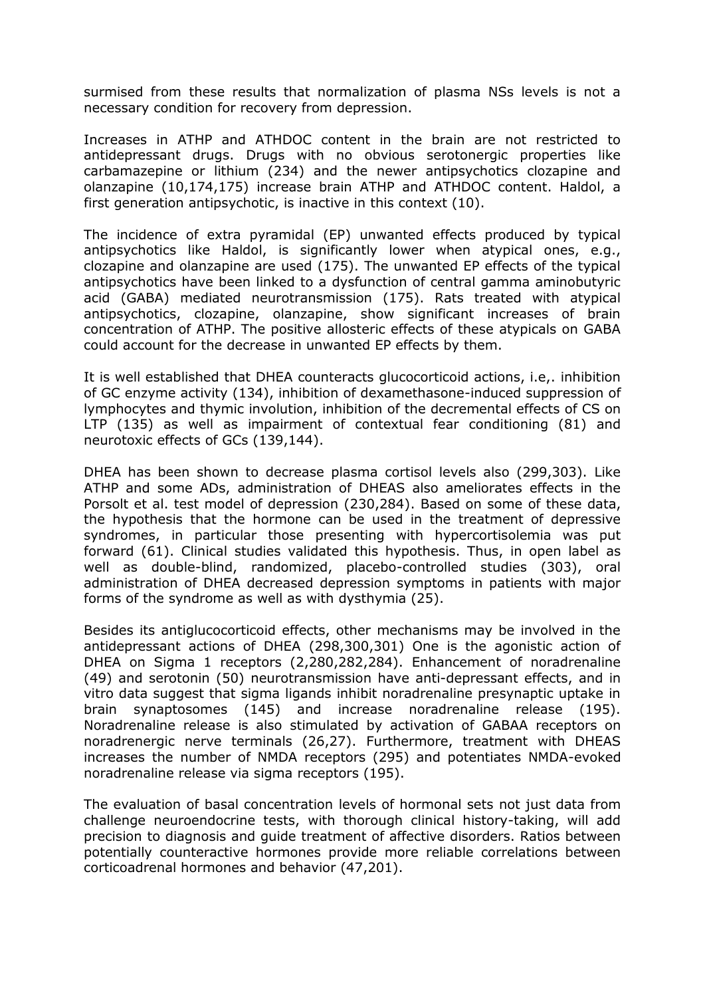surmised from these results that normalization of plasma NSs levels is not a necessary condition for recovery from depression.

Increases in ATHP and ATHDOC content in the brain are not restricted to antidepressant drugs. Drugs with no obvious serotonergic properties like carbamazepine or lithium (234) and the newer antipsychotics clozapine and olanzapine (10,174,175) increase brain ATHP and ATHDOC content. Haldol, a first generation antipsychotic, is inactive in this context (10).

The incidence of extra pyramidal (EP) unwanted effects produced by typical antipsychotics like Haldol, is significantly lower when atypical ones, e.g., clozapine and olanzapine are used (175). The unwanted EP effects of the typical antipsychotics have been linked to a dysfunction of central gamma aminobutyric acid (GABA) mediated neurotransmission (175). Rats treated with atypical antipsychotics, clozapine, olanzapine, show significant increases of brain concentration of ATHP. The positive allosteric effects of these atypicals on GABA could account for the decrease in unwanted EP effects by them.

It is well established that DHEA counteracts glucocorticoid actions, i.e,. inhibition of GC enzyme activity (134), inhibition of dexamethasone-induced suppression of lymphocytes and thymic involution, inhibition of the decremental effects of CS on LTP (135) as well as impairment of contextual fear conditioning (81) and neurotoxic effects of GCs (139,144).

DHEA has been shown to decrease plasma cortisol levels also (299,303). Like ATHP and some ADs, administration of DHEAS also ameliorates effects in the Porsolt et al. test model of depression (230,284). Based on some of these data, the hypothesis that the hormone can be used in the treatment of depressive syndromes, in particular those presenting with hypercortisolemia was put forward (61). Clinical studies validated this hypothesis. Thus, in open label as well as double-blind, randomized, placebo-controlled studies (303), oral administration of DHEA decreased depression symptoms in patients with major forms of the syndrome as well as with dysthymia (25).

Besides its antiglucocorticoid effects, other mechanisms may be involved in the antidepressant actions of DHEA (298,300,301) One is the agonistic action of DHEA on Sigma 1 receptors (2,280,282,284). Enhancement of noradrenaline (49) and serotonin (50) neurotransmission have anti-depressant effects, and in vitro data suggest that sigma ligands inhibit noradrenaline presynaptic uptake in brain synaptosomes (145) and increase noradrenaline release (195). Noradrenaline release is also stimulated by activation of GABAA receptors on noradrenergic nerve terminals (26,27). Furthermore, treatment with DHEAS increases the number of NMDA receptors (295) and potentiates NMDA-evoked noradrenaline release via sigma receptors (195).

The evaluation of basal concentration levels of hormonal sets not just data from challenge neuroendocrine tests, with thorough clinical history-taking, will add precision to diagnosis and guide treatment of affective disorders. Ratios between potentially counteractive hormones provide more reliable correlations between corticoadrenal hormones and behavior (47,201).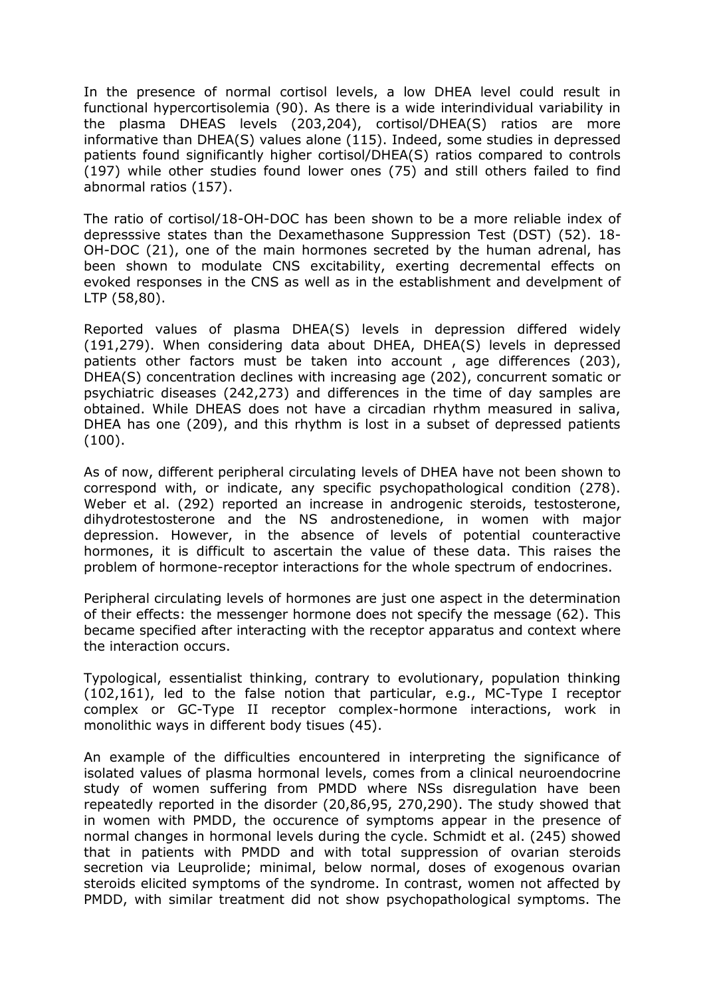In the presence of normal cortisol levels, a low DHEA level could result in functional hypercortisolemia (90). As there is a wide interindividual variability in the plasma DHEAS levels (203,204), cortisol/DHEA(S) ratios are more informative than DHEA(S) values alone (115). Indeed, some studies in depressed patients found significantly higher cortisol/DHEA(S) ratios compared to controls (197) while other studies found lower ones (75) and still others failed to find abnormal ratios (157).

The ratio of cortisol/18-OH-DOC has been shown to be a more reliable index of depresssive states than the Dexamethasone Suppression Test (DST) (52). 18- OH-DOC (21), one of the main hormones secreted by the human adrenal, has been shown to modulate CNS excitability, exerting decremental effects on evoked responses in the CNS as well as in the establishment and develpment of LTP (58,80).

Reported values of plasma DHEA(S) levels in depression differed widely (191,279). When considering data about DHEA, DHEA(S) levels in depressed patients other factors must be taken into account , age differences (203), DHEA(S) concentration declines with increasing age (202), concurrent somatic or psychiatric diseases (242,273) and differences in the time of day samples are obtained. While DHEAS does not have a circadian rhythm measured in saliva, DHEA has one (209), and this rhythm is lost in a subset of depressed patients (100).

As of now, different peripheral circulating levels of DHEA have not been shown to correspond with, or indicate, any specific psychopathological condition (278). Weber et al. (292) reported an increase in androgenic steroids, testosterone, dihydrotestosterone and the NS androstenedione, in women with major depression. However, in the absence of levels of potential counteractive hormones, it is difficult to ascertain the value of these data. This raises the problem of hormone-receptor interactions for the whole spectrum of endocrines.

Peripheral circulating levels of hormones are just one aspect in the determination of their effects: the messenger hormone does not specify the message (62). This became specified after interacting with the receptor apparatus and context where the interaction occurs.

Typological, essentialist thinking, contrary to evolutionary, population thinking (102,161), led to the false notion that particular, e.g., MC-Type I receptor complex or GC-Type II receptor complex-hormone interactions, work in monolithic ways in different body tisues (45).

An example of the difficulties encountered in interpreting the significance of isolated values of plasma hormonal levels, comes from a clinical neuroendocrine study of women suffering from PMDD where NSs disregulation have been repeatedly reported in the disorder (20,86,95, 270,290). The study showed that in women with PMDD, the occurence of symptoms appear in the presence of normal changes in hormonal levels during the cycle. Schmidt et al. (245) showed that in patients with PMDD and with total suppression of ovarian steroids secretion via Leuprolide; minimal, below normal, doses of exogenous ovarian steroids elicited symptoms of the syndrome. In contrast, women not affected by PMDD, with similar treatment did not show psychopathological symptoms. The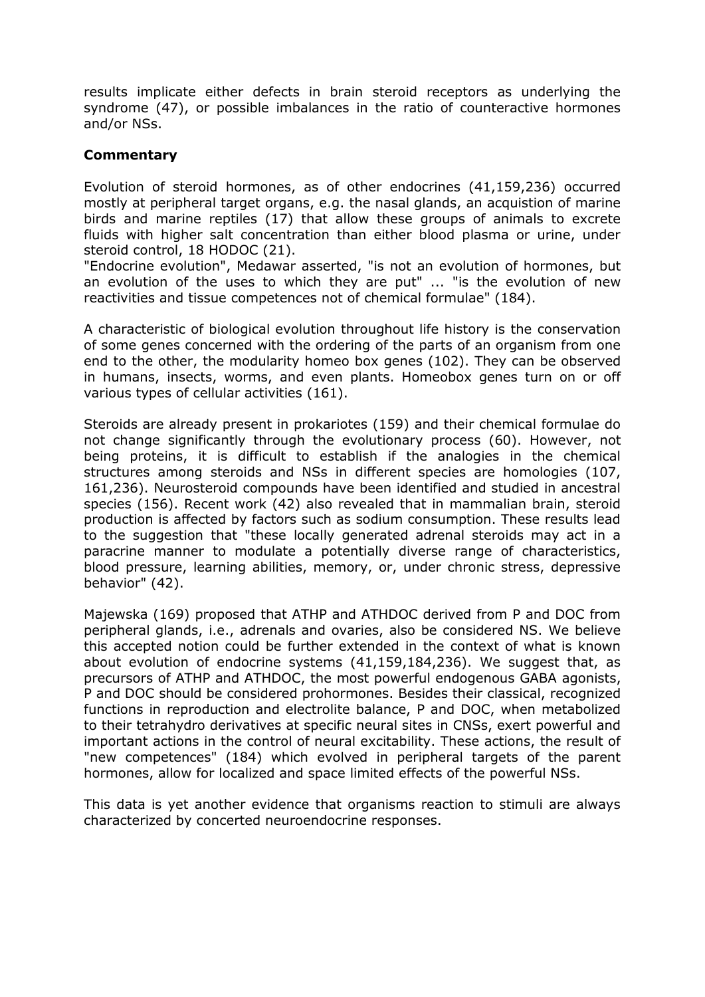results implicate either defects in brain steroid receptors as underlying the syndrome (47), or possible imbalances in the ratio of counteractive hormones and/or NSs.

#### **Commentary**

Evolution of steroid hormones, as of other endocrines (41,159,236) occurred mostly at peripheral target organs, e.g. the nasal glands, an acquistion of marine birds and marine reptiles (17) that allow these groups of animals to excrete fluids with higher salt concentration than either blood plasma or urine, under steroid control, 18 HODOC (21).

"Endocrine evolution", Medawar asserted, "is not an evolution of hormones, but an evolution of the uses to which they are put" ... "is the evolution of new reactivities and tissue competences not of chemical formulae" (184).

A characteristic of biological evolution throughout life history is the conservation of some genes concerned with the ordering of the parts of an organism from one end to the other, the modularity homeo box genes (102). They can be observed in humans, insects, worms, and even plants. Homeobox genes turn on or off various types of cellular activities (161).

Steroids are already present in prokariotes (159) and their chemical formulae do not change significantly through the evolutionary process (60). However, not being proteins, it is difficult to establish if the analogies in the chemical structures among steroids and NSs in different species are homologies (107, 161,236). Neurosteroid compounds have been identified and studied in ancestral species (156). Recent work (42) also revealed that in mammalian brain, steroid production is affected by factors such as sodium consumption. These results lead to the suggestion that "these locally generated adrenal steroids may act in a paracrine manner to modulate a potentially diverse range of characteristics, blood pressure, learning abilities, memory, or, under chronic stress, depressive behavior" (42).

Majewska (169) proposed that ATHP and ATHDOC derived from P and DOC from peripheral glands, i.e., adrenals and ovaries, also be considered NS. We believe this accepted notion could be further extended in the context of what is known about evolution of endocrine systems (41,159,184,236). We suggest that, as precursors of ATHP and ATHDOC, the most powerful endogenous GABA agonists, P and DOC should be considered prohormones. Besides their classical, recognized functions in reproduction and electrolite balance, P and DOC, when metabolized to their tetrahydro derivatives at specific neural sites in CNSs, exert powerful and important actions in the control of neural excitability. These actions, the result of "new competences" (184) which evolved in peripheral targets of the parent hormones, allow for localized and space limited effects of the powerful NSs.

This data is yet another evidence that organisms reaction to stimuli are always characterized by concerted neuroendocrine responses.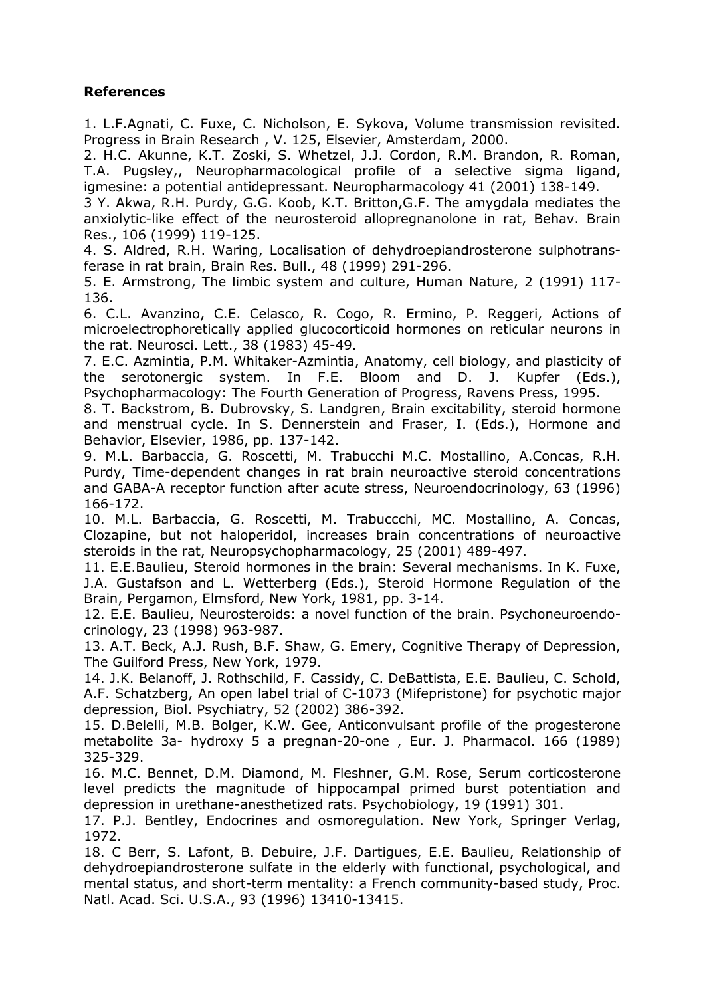## **References**

1. L.F.Agnati, C. Fuxe, C. Nicholson, E. Sykova, Volume transmission revisited. Progress in Brain Research , V. 125, Elsevier, Amsterdam, 2000.

2. H.C. Akunne, K.T. Zoski, S. Whetzel, J.J. Cordon, R.M. Brandon, R. Roman, T.A. Pugsley,, Neuropharmacological profile of a selective sigma ligand, igmesine: a potential antidepressant. Neuropharmacology 41 (2001) 138-149.

3 Y. Akwa, R.H. Purdy, G.G. Koob, K.T. Britton,G.F. The amygdala mediates the anxiolytic-like effect of the neurosteroid allopregnanolone in rat, Behav. Brain Res., 106 (1999) 119-125.

4. S. Aldred, R.H. Waring, Localisation of dehydroepiandrosterone sulphotransferase in rat brain, Brain Res. Bull., 48 (1999) 291-296.

5. E. Armstrong, The limbic system and culture, Human Nature, 2 (1991) 117- 136.

6. C.L. Avanzino, C.E. Celasco, R. Cogo, R. Ermino, P. Reggeri, Actions of microelectrophoretically applied glucocorticoid hormones on reticular neurons in the rat. Neurosci. Lett., 38 (1983) 45-49.

7. E.C. Azmintia, P.M. Whitaker-Azmintia, Anatomy, cell biology, and plasticity of the serotonergic system. In F.E. Bloom and D. J. Kupfer (Eds.), Psychopharmacology: The Fourth Generation of Progress, Ravens Press, 1995.

8. T. Backstrom, B. Dubrovsky, S. Landgren, Brain excitability, steroid hormone and menstrual cycle. In S. Dennerstein and Fraser, I. (Eds.), Hormone and Behavior, Elsevier, 1986, pp. 137-142.

9. M.L. Barbaccia, G. Roscetti, M. Trabucchi M.C. Mostallino, A.Concas, R.H. Purdy, Time-dependent changes in rat brain neuroactive steroid concentrations and GABA-A receptor function after acute stress, Neuroendocrinology, 63 (1996) 166-172.

10. M.L. Barbaccia, G. Roscetti, M. Trabuccchi, MC. Mostallino, A. Concas, Clozapine, but not haloperidol, increases brain concentrations of neuroactive steroids in the rat, Neuropsychopharmacology, 25 (2001) 489-497.

11. E.E.Baulieu, Steroid hormones in the brain: Several mechanisms. In K. Fuxe, J.A. Gustafson and L. Wetterberg (Eds.), Steroid Hormone Regulation of the Brain, Pergamon, Elmsford, New York, 1981, pp. 3-14.

12. E.E. Baulieu, Neurosteroids: a novel function of the brain. Psychoneuroendocrinology, 23 (1998) 963-987.

13. A.T. Beck, A.J. Rush, B.F. Shaw, G. Emery, Cognitive Therapy of Depression, The Guilford Press, New York, 1979.

14. J.K. Belanoff, J. Rothschild, F. Cassidy, C. DeBattista, E.E. Baulieu, C. Schold, A.F. Schatzberg, An open label trial of C-1073 (Mifepristone) for psychotic major depression, Biol. Psychiatry, 52 (2002) 386-392.

15. D.Belelli, M.B. Bolger, K.W. Gee, Anticonvulsant profile of the progesterone metabolite 3a- hydroxy 5 a pregnan-20-one , Eur. J. Pharmacol. 166 (1989) 325-329.

16. M.C. Bennet, D.M. Diamond, M. Fleshner, G.M. Rose, Serum corticosterone level predicts the magnitude of hippocampal primed burst potentiation and depression in urethane-anesthetized rats. Psychobiology, 19 (1991) 301.

17. P.J. Bentley, Endocrines and osmoregulation. New York, Springer Verlag, 1972.

18. C Berr, S. Lafont, B. Debuire, J.F. Dartigues, E.E. Baulieu, Relationship of dehydroepiandrosterone sulfate in the elderly with functional, psychological, and mental status, and short-term mentality: a French community-based study, Proc. Natl. Acad. Sci. U.S.A., 93 (1996) 13410-13415.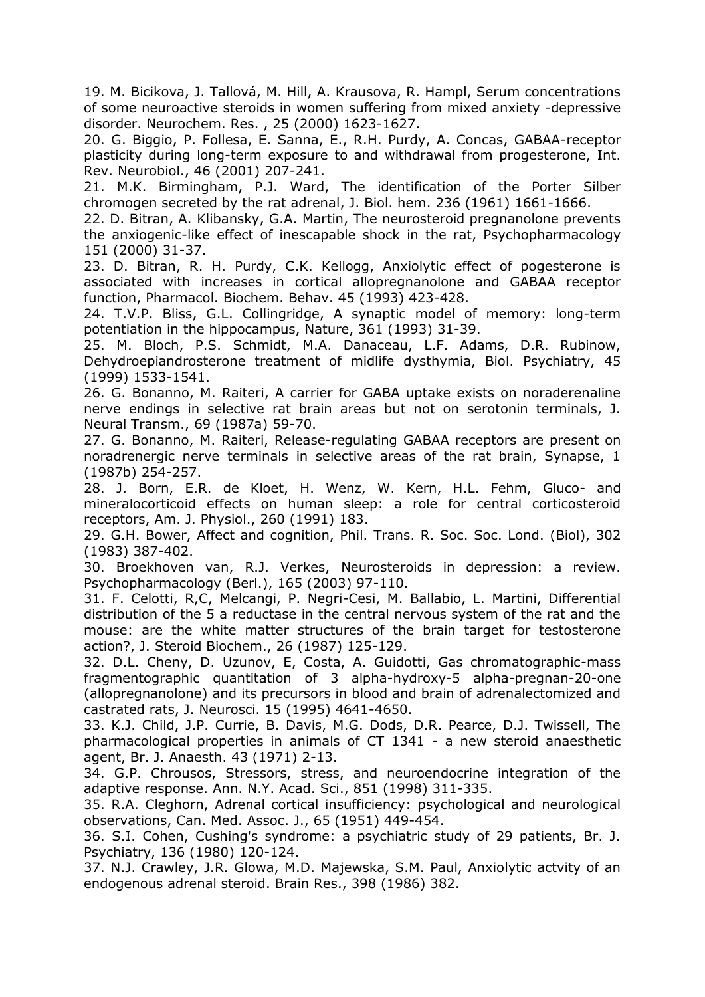19. M. Bicikova, J. Tallová, M. Hill, A. Krausova, R. Hampl, Serum concentrations of some neuroactive steroids in women suffering from mixed anxiety -depressive disorder. Neurochem. Res. , 25 (2000) 1623-1627.

20. G. Biggio, P. Follesa, E. Sanna, E., R.H. Purdy, A. Concas, GABAA-receptor plasticity during long-term exposure to and withdrawal from progesterone, Int. Rev. Neurobiol., 46 (2001) 207-241.

21. M.K. Birmingham, P.J. Ward, The identification of the Porter Silber chromogen secreted by the rat adrenal, J. Biol. hem. 236 (1961) 1661-1666.

22. D. Bitran, A. Klibansky, G.A. Martin, The neurosteroid pregnanolone prevents the anxiogenic-like effect of inescapable shock in the rat, Psychopharmacology 151 (2000) 31-37.

23. D. Bitran, R. H. Purdy, C.K. Kellogg, Anxiolytic effect of pogesterone is associated with increases in cortical allopregnanolone and GABAA receptor function, Pharmacol. Biochem. Behav. 45 (1993) 423-428.

24. T.V.P. Bliss, G.L. Collingridge, A synaptic model of memory: long-term potentiation in the hippocampus, Nature, 361 (1993) 31-39.

25. M. Bloch, P.S. Schmidt, M.A. Danaceau, L.F. Adams, D.R. Rubinow, Dehydroepiandrosterone treatment of midlife dysthymia, Biol. Psychiatry, 45 (1999) 1533-1541.

26. G. Bonanno, M. Raiteri, A carrier for GABA uptake exists on noraderenaline nerve endings in selective rat brain areas but not on serotonin terminals, J. Neural Transm., 69 (1987a) 59-70.

27. G. Bonanno, M. Raiteri, Release-regulating GABAA receptors are present on noradrenergic nerve terminals in selective areas of the rat brain, Synapse, 1 (1987b) 254-257.

28. J. Born, E.R. de Kloet, H. Wenz, W. Kern, H.L. Fehm, Gluco- and mineralocorticoid effects on human sleep: a role for central corticosteroid receptors, Am. J. Physiol., 260 (1991) 183.

29. G.H. Bower, Affect and cognition, Phil. Trans. R. Soc. Soc. Lond. (Biol), 302 (1983) 387-402.

30. Broekhoven van, R.J. Verkes, Neurosteroids in depression: a review. Psychopharmacology (Berl.), 165 (2003) 97-110.

31. F. Celotti, R,C, Melcangi, P. Negri-Cesi, M. Ballabio, L. Martini, Differential distribution of the 5 a reductase in the central nervous system of the rat and the mouse: are the white matter structures of the brain target for testosterone action?, J. Steroid Biochem., 26 (1987) 125-129.

32. D.L. Cheny, D. Uzunov, E, Costa, A. Guidotti, Gas chromatographic-mass fragmentographic quantitation of 3 alpha-hydroxy-5 alpha-pregnan-20-one (allopregnanolone) and its precursors in blood and brain of adrenalectomized and castrated rats, J. Neurosci. 15 (1995) 4641-4650.

33. K.J. Child, J.P. Currie, B. Davis, M.G. Dods, D.R. Pearce, D.J. Twissell, The pharmacological properties in animals of CT 1341 - a new steroid anaesthetic agent, Br. J. Anaesth. 43 (1971) 2-13.

34. G.P. Chrousos, Stressors, stress, and neuroendocrine integration of the adaptive response. Ann. N.Y. Acad. Sci., 851 (1998) 311-335.

35. R.A. Cleghorn, Adrenal cortical insufficiency: psychological and neurological observations, Can. Med. Assoc. J., 65 (1951) 449-454.

36. S.I. Cohen, Cushing's syndrome: a psychiatric study of 29 patients, Br. J. Psychiatry, 136 (1980) 120-124.

37. N.J. Crawley, J.R. Glowa, M.D. Majewska, S.M. Paul, Anxiolytic actvity of an endogenous adrenal steroid. Brain Res., 398 (1986) 382.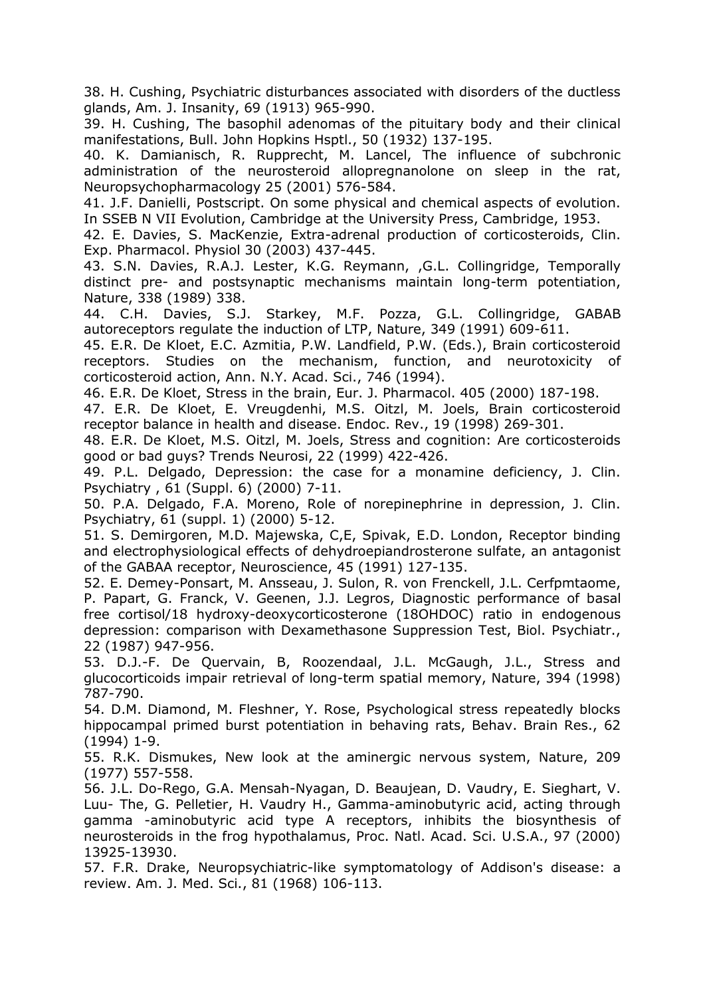38. H. Cushing, Psychiatric disturbances associated with disorders of the ductless glands, Am. J. Insanity, 69 (1913) 965-990.

39. H. Cushing, The basophil adenomas of the pituitary body and their clinical manifestations, Bull. John Hopkins Hsptl., 50 (1932) 137-195.

40. K. Damianisch, R. Rupprecht, M. Lancel, The influence of subchronic administration of the neurosteroid allopregnanolone on sleep in the rat, Neuropsychopharmacology 25 (2001) 576-584.

41. J.F. Danielli, Postscript. On some physical and chemical aspects of evolution. In SSEB N VII Evolution, Cambridge at the University Press, Cambridge, 1953.

42. E. Davies, S. MacKenzie, Extra-adrenal production of corticosteroids, Clin. Exp. Pharmacol. Physiol 30 (2003) 437-445.

43. S.N. Davies, R.A.J. Lester, K.G. Reymann, ,G.L. Collingridge, Temporally distinct pre- and postsynaptic mechanisms maintain long-term potentiation, Nature, 338 (1989) 338.

44. C.H. Davies, S.J. Starkey, M.F. Pozza, G.L. Collingridge, GABAB autoreceptors regulate the induction of LTP, Nature, 349 (1991) 609-611.

45. E.R. De Kloet, E.C. Azmitia, P.W. Landfield, P.W. (Eds.), Brain corticosteroid receptors. Studies on the mechanism, function, and neurotoxicity of corticosteroid action, Ann. N.Y. Acad. Sci., 746 (1994).

46. E.R. De Kloet, Stress in the brain, Eur. J. Pharmacol. 405 (2000) 187-198.

47. E.R. De Kloet, E. Vreugdenhi, M.S. Oitzl, M. Joels, Brain corticosteroid receptor balance in health and disease. Endoc. Rev., 19 (1998) 269-301.

48. E.R. De Kloet, M.S. Oitzl, M. Joels, Stress and cognition: Are corticosteroids good or bad guys? Trends Neurosi, 22 (1999) 422-426.

49. P.L. Delgado, Depression: the case for a monamine deficiency, J. Clin. Psychiatry , 61 (Suppl. 6) (2000) 7-11.

50. P.A. Delgado, F.A. Moreno, Role of norepinephrine in depression, J. Clin. Psychiatry, 61 (suppl. 1) (2000) 5-12.

51. S. Demirgoren, M.D. Majewska, C,E, Spivak, E.D. London, Receptor binding and electrophysiological effects of dehydroepiandrosterone sulfate, an antagonist of the GABAA receptor, Neuroscience, 45 (1991) 127-135.

52. E. Demey-Ponsart, M. Ansseau, J. Sulon, R. von Frenckell, J.L. Cerfpmtaome, P. Papart, G. Franck, V. Geenen, J.J. Legros, Diagnostic performance of basal free cortisol/18 hydroxy-deoxycorticosterone (18OHDOC) ratio in endogenous depression: comparison with Dexamethasone Suppression Test, Biol. Psychiatr., 22 (1987) 947-956.

53. D.J.-F. De Quervain, B, Roozendaal, J.L. McGaugh, J.L., Stress and glucocorticoids impair retrieval of long-term spatial memory, Nature, 394 (1998) 787-790.

54. D.M. Diamond, M. Fleshner, Y. Rose, Psychological stress repeatedly blocks hippocampal primed burst potentiation in behaving rats, Behav. Brain Res., 62 (1994) 1-9.

55. R.K. Dismukes, New look at the aminergic nervous system, Nature, 209 (1977) 557-558.

56. J.L. Do-Rego, G.A. Mensah-Nyagan, D. Beaujean, D. Vaudry, E. Sieghart, V. Luu- The, G. Pelletier, H. Vaudry H., Gamma-aminobutyric acid, acting through gamma -aminobutyric acid type A receptors, inhibits the biosynthesis of neurosteroids in the frog hypothalamus, Proc. Natl. Acad. Sci. U.S.A., 97 (2000) 13925-13930.

57. F.R. Drake, Neuropsychiatric-like symptomatology of Addison's disease: a review. Am. J. Med. Sci., 81 (1968) 106-113.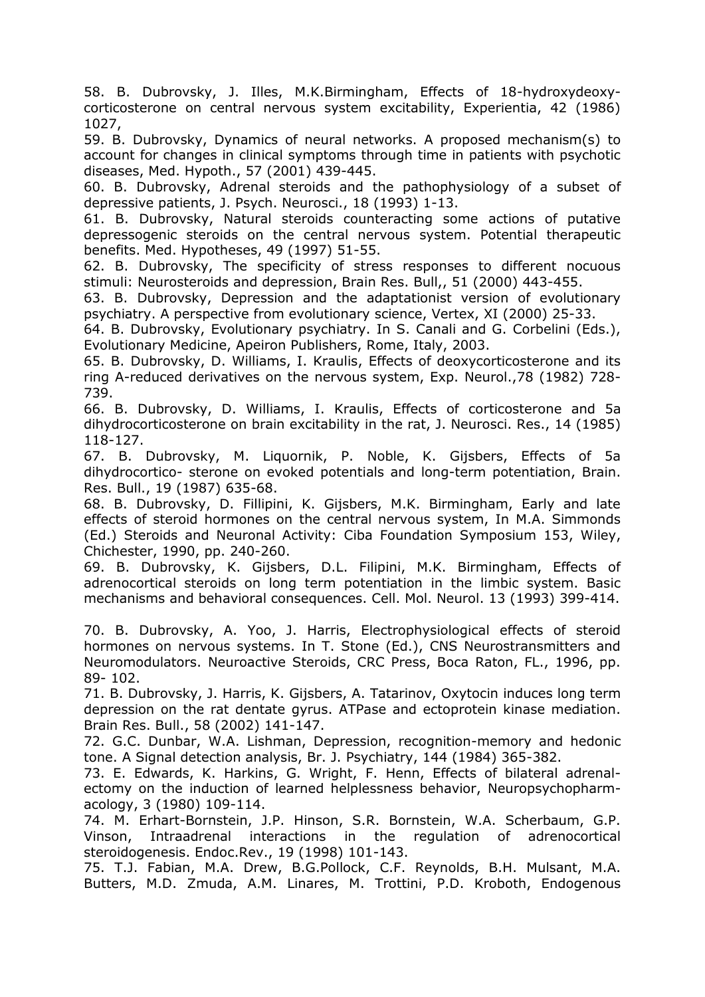58. B. Dubrovsky, J. Illes, M.K.Birmingham, Effects of 18-hydroxydeoxycorticosterone on central nervous system excitability, Experientia, 42 (1986) 1027,

59. B. Dubrovsky, Dynamics of neural networks. A proposed mechanism(s) to account for changes in clinical symptoms through time in patients with psychotic diseases, Med. Hypoth., 57 (2001) 439-445.

60. B. Dubrovsky, Adrenal steroids and the pathophysiology of a subset of depressive patients, J. Psych. Neurosci., 18 (1993) 1-13.

61. B. Dubrovsky, Natural steroids counteracting some actions of putative depressogenic steroids on the central nervous system. Potential therapeutic benefits. Med. Hypotheses, 49 (1997) 51-55.

62. B. Dubrovsky, The specificity of stress responses to different nocuous stimuli: Neurosteroids and depression, Brain Res. Bull,, 51 (2000) 443-455.

63. B. Dubrovsky, Depression and the adaptationist version of evolutionary psychiatry. A perspective from evolutionary science, Vertex, XI (2000) 25-33.

64. B. Dubrovsky, Evolutionary psychiatry. In S. Canali and G. Corbelini (Eds.), Evolutionary Medicine, Apeiron Publishers, Rome, Italy, 2003.

65. B. Dubrovsky, D. Williams, I. Kraulis, Effects of deoxycorticosterone and its ring A-reduced derivatives on the nervous system, Exp. Neurol.,78 (1982) 728- 739.

66. B. Dubrovsky, D. Williams, I. Kraulis, Effects of corticosterone and 5a dihydrocorticosterone on brain excitability in the rat, J. Neurosci. Res., 14 (1985) 118-127.

67. B. Dubrovsky, M. Liquornik, P. Noble, K. Gijsbers, Effects of 5a dihydrocortico- sterone on evoked potentials and long-term potentiation, Brain. Res. Bull., 19 (1987) 635-68.

68. B. Dubrovsky, D. Fillipini, K. Gijsbers, M.K. Birmingham, Early and late effects of steroid hormones on the central nervous system, In M.A. Simmonds (Ed.) Steroids and Neuronal Activity: Ciba Foundation Symposium 153, Wiley, Chichester, 1990, pp. 240-260.

69. B. Dubrovsky, K. Gijsbers, D.L. Filipini, M.K. Birmingham, Effects of adrenocortical steroids on long term potentiation in the limbic system. Basic mechanisms and behavioral consequences. Cell. Mol. Neurol. 13 (1993) 399-414.

70. B. Dubrovsky, A. Yoo, J. Harris, Electrophysiological effects of steroid hormones on nervous systems. In T. Stone (Ed.), CNS Neurostransmitters and Neuromodulators. Neuroactive Steroids, CRC Press, Boca Raton, FL., 1996, pp. 89- 102.

71. B. Dubrovsky, J. Harris, K. Gijsbers, A. Tatarinov, Oxytocin induces long term depression on the rat dentate gyrus. ATPase and ectoprotein kinase mediation. Brain Res. Bull., 58 (2002) 141-147.

72. G.C. Dunbar, W.A. Lishman, Depression, recognition-memory and hedonic tone. A Signal detection analysis, Br. J. Psychiatry, 144 (1984) 365-382.

73. E. Edwards, K. Harkins, G. Wright, F. Henn, Effects of bilateral adrenalectomy on the induction of learned helplessness behavior, Neuropsychopharmacology, 3 (1980) 109-114.

74. M. Erhart-Bornstein, J.P. Hinson, S.R. Bornstein, W.A. Scherbaum, G.P. Vinson, Intraadrenal interactions in the regulation of adrenocortical steroidogenesis. Endoc.Rev., 19 (1998) 101-143.

75. T.J. Fabian, M.A. Drew, B.G.Pollock, C.F. Reynolds, B.H. Mulsant, M.A. Butters, M.D. Zmuda, A.M. Linares, M. Trottini, P.D. Kroboth, Endogenous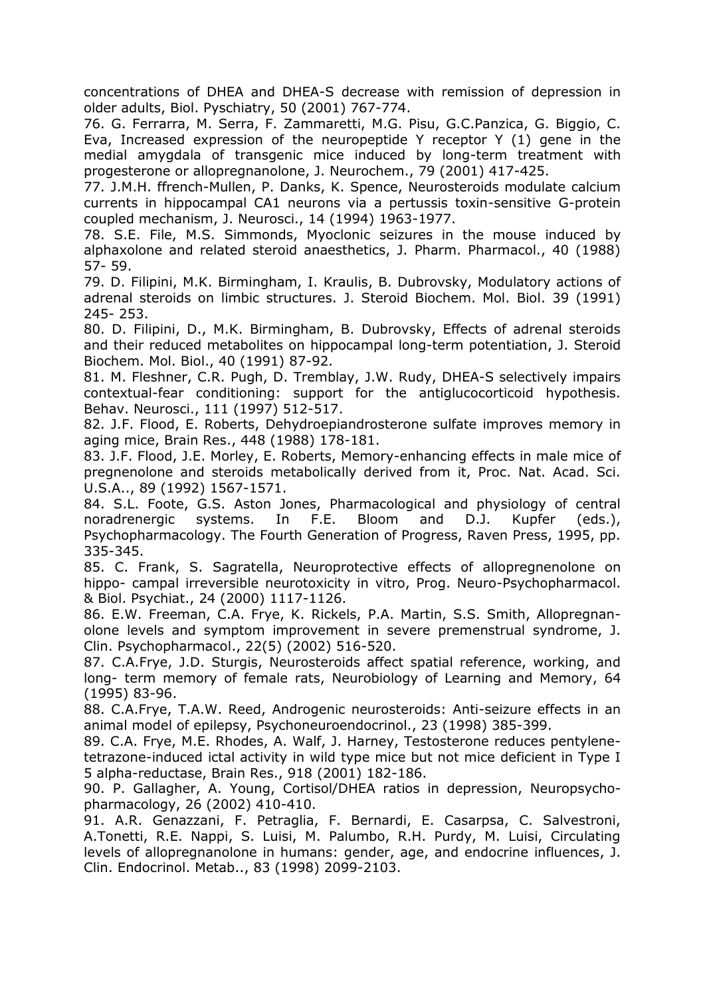concentrations of DHEA and DHEA-S decrease with remission of depression in older adults, Biol. Pyschiatry, 50 (2001) 767-774.

76. G. Ferrarra, M. Serra, F. Zammaretti, M.G. Pisu, G.C.Panzica, G. Biggio, C. Eva, Increased expression of the neuropeptide Y receptor Y (1) gene in the medial amygdala of transgenic mice induced by long-term treatment with progesterone or allopregnanolone, J. Neurochem., 79 (2001) 417-425.

77. J.M.H. ffrench-Mullen, P. Danks, K. Spence, Neurosteroids modulate calcium currents in hippocampal CA1 neurons via a pertussis toxin-sensitive G-protein coupled mechanism, J. Neurosci., 14 (1994) 1963-1977.

78. S.E. File, M.S. Simmonds, Myoclonic seizures in the mouse induced by alphaxolone and related steroid anaesthetics, J. Pharm. Pharmacol., 40 (1988) 57- 59.

79. D. Filipini, M.K. Birmingham, I. Kraulis, B. Dubrovsky, Modulatory actions of adrenal steroids on limbic structures. J. Steroid Biochem. Mol. Biol. 39 (1991) 245- 253.

80. D. Filipini, D., M.K. Birmingham, B. Dubrovsky, Effects of adrenal steroids and their reduced metabolites on hippocampal long-term potentiation, J. Steroid Biochem. Mol. Biol., 40 (1991) 87-92.

81. M. Fleshner, C.R. Pugh, D. Tremblay, J.W. Rudy, DHEA-S selectively impairs contextual-fear conditioning: support for the antiglucocorticoid hypothesis. Behav. Neurosci., 111 (1997) 512-517.

82. J.F. Flood, E. Roberts, Dehydroepiandrosterone sulfate improves memory in aging mice, Brain Res., 448 (1988) 178-181.

83. J.F. Flood, J.E. Morley, E. Roberts, Memory-enhancing effects in male mice of pregnenolone and steroids metabolically derived from it, Proc. Nat. Acad. Sci. U.S.A.., 89 (1992) 1567-1571.

84. S.L. Foote, G.S. Aston Jones, Pharmacological and physiology of central noradrenergic systems. In F.E. Bloom and D.J. Kupfer (eds.), Psychopharmacology. The Fourth Generation of Progress, Raven Press, 1995, pp. 335-345.

85. C. Frank, S. Sagratella, Neuroprotective effects of allopregnenolone on hippo- campal irreversible neurotoxicity in vitro, Prog. Neuro-Psychopharmacol. & Biol. Psychiat., 24 (2000) 1117-1126.

86. E.W. Freeman, C.A. Frye, K. Rickels, P.A. Martin, S.S. Smith, Allopregnanolone levels and symptom improvement in severe premenstrual syndrome, J. Clin. Psychopharmacol., 22(5) (2002) 516-520.

87. C.A.Frye, J.D. Sturgis, Neurosteroids affect spatial reference, working, and long- term memory of female rats, Neurobiology of Learning and Memory, 64 (1995) 83-96.

88. C.A.Frye, T.A.W. Reed, Androgenic neurosteroids: Anti-seizure effects in an animal model of epilepsy, Psychoneuroendocrinol., 23 (1998) 385-399.

89. C.A. Frye, M.E. Rhodes, A. Walf, J. Harney, Testosterone reduces pentylenetetrazone-induced ictal activity in wild type mice but not mice deficient in Type I 5 alpha-reductase, Brain Res., 918 (2001) 182-186.

90. P. Gallagher, A. Young, Cortisol/DHEA ratios in depression, Neuropsychopharmacology, 26 (2002) 410-410.

91. A.R. Genazzani, F. Petraglia, F. Bernardi, E. Casarpsa, C. Salvestroni, A.Tonetti, R.E. Nappi, S. Luisi, M. Palumbo, R.H. Purdy, M. Luisi, Circulating levels of allopregnanolone in humans: gender, age, and endocrine influences, J. Clin. Endocrinol. Metab.., 83 (1998) 2099-2103.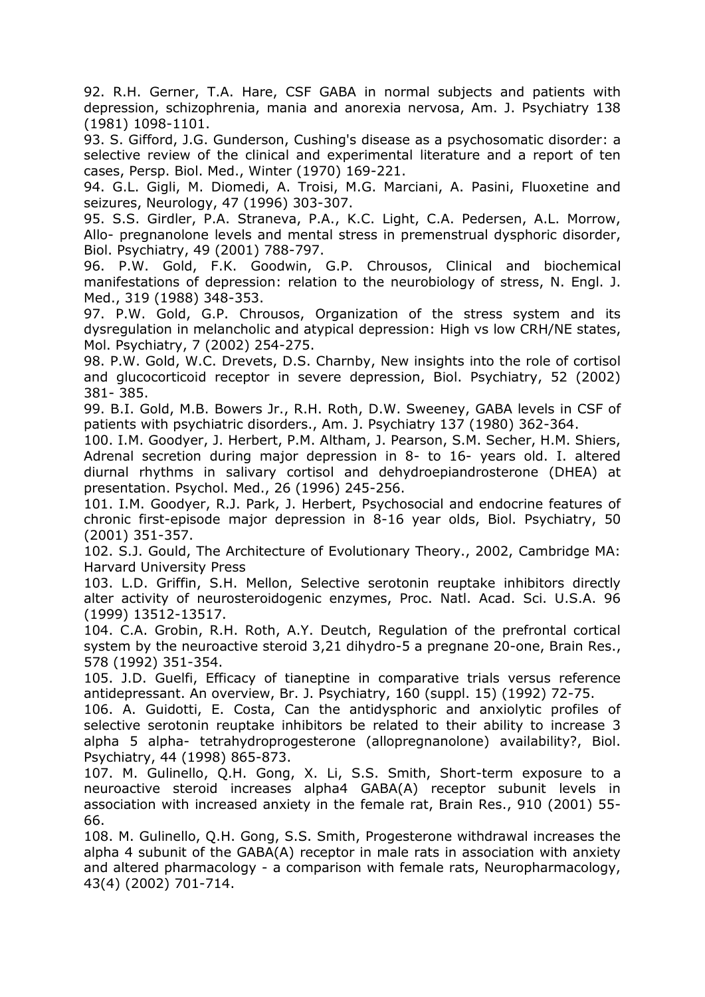92. R.H. Gerner, T.A. Hare, CSF GABA in normal subjects and patients with depression, schizophrenia, mania and anorexia nervosa, Am. J. Psychiatry 138 (1981) 1098-1101.

93. S. Gifford, J.G. Gunderson, Cushing's disease as a psychosomatic disorder: a selective review of the clinical and experimental literature and a report of ten cases, Persp. Biol. Med., Winter (1970) 169-221.

94. G.L. Gigli, M. Diomedi, A. Troisi, M.G. Marciani, A. Pasini, Fluoxetine and seizures, Neurology, 47 (1996) 303-307.

95. S.S. Girdler, P.A. Straneva, P.A., K.C. Light, C.A. Pedersen, A.L. Morrow, Allo- pregnanolone levels and mental stress in premenstrual dysphoric disorder, Biol. Psychiatry, 49 (2001) 788-797.

96. P.W. Gold, F.K. Goodwin, G.P. Chrousos, Clinical and biochemical manifestations of depression: relation to the neurobiology of stress, N. Engl. J. Med., 319 (1988) 348-353.

97. P.W. Gold, G.P. Chrousos, Organization of the stress system and its dysregulation in melancholic and atypical depression: High vs low CRH/NE states, Mol. Psychiatry, 7 (2002) 254-275.

98. P.W. Gold, W.C. Drevets, D.S. Charnby, New insights into the role of cortisol and glucocorticoid receptor in severe depression, Biol. Psychiatry, 52 (2002) 381- 385.

99. B.I. Gold, M.B. Bowers Jr., R.H. Roth, D.W. Sweeney, GABA levels in CSF of patients with psychiatric disorders., Am. J. Psychiatry 137 (1980) 362-364.

100. I.M. Goodyer, J. Herbert, P.M. Altham, J. Pearson, S.M. Secher, H.M. Shiers, Adrenal secretion during major depression in 8- to 16- years old. I. altered diurnal rhythms in salivary cortisol and dehydroepiandrosterone (DHEA) at presentation. Psychol. Med., 26 (1996) 245-256.

101. I.M. Goodyer, R.J. Park, J. Herbert, Psychosocial and endocrine features of chronic first-episode major depression in 8-16 year olds, Biol. Psychiatry, 50 (2001) 351-357.

102. S.J. Gould, The Architecture of Evolutionary Theory., 2002, Cambridge MA: Harvard University Press

103. L.D. Griffin, S.H. Mellon, Selective serotonin reuptake inhibitors directly alter activity of neurosteroidogenic enzymes, Proc. Natl. Acad. Sci. U.S.A. 96 (1999) 13512-13517.

104. C.A. Grobin, R.H. Roth, A.Y. Deutch, Regulation of the prefrontal cortical system by the neuroactive steroid 3,21 dihydro-5 a pregnane 20-one, Brain Res., 578 (1992) 351-354.

105. J.D. Guelfi, Efficacy of tianeptine in comparative trials versus reference antidepressant. An overview, Br. J. Psychiatry, 160 (suppl. 15) (1992) 72-75.

106. A. Guidotti, E. Costa, Can the antidysphoric and anxiolytic profiles of selective serotonin reuptake inhibitors be related to their ability to increase 3 alpha 5 alpha- tetrahydroprogesterone (allopregnanolone) availability?, Biol. Psychiatry, 44 (1998) 865-873.

107. M. Gulinello, Q.H. Gong, X. Li, S.S. Smith, Short-term exposure to a neuroactive steroid increases alpha4 GABA(A) receptor subunit levels in association with increased anxiety in the female rat, Brain Res., 910 (2001) 55- 66.

108. M. Gulinello, Q.H. Gong, S.S. Smith, Progesterone withdrawal increases the alpha 4 subunit of the GABA(A) receptor in male rats in association with anxiety and altered pharmacology - a comparison with female rats, Neuropharmacology, 43(4) (2002) 701-714.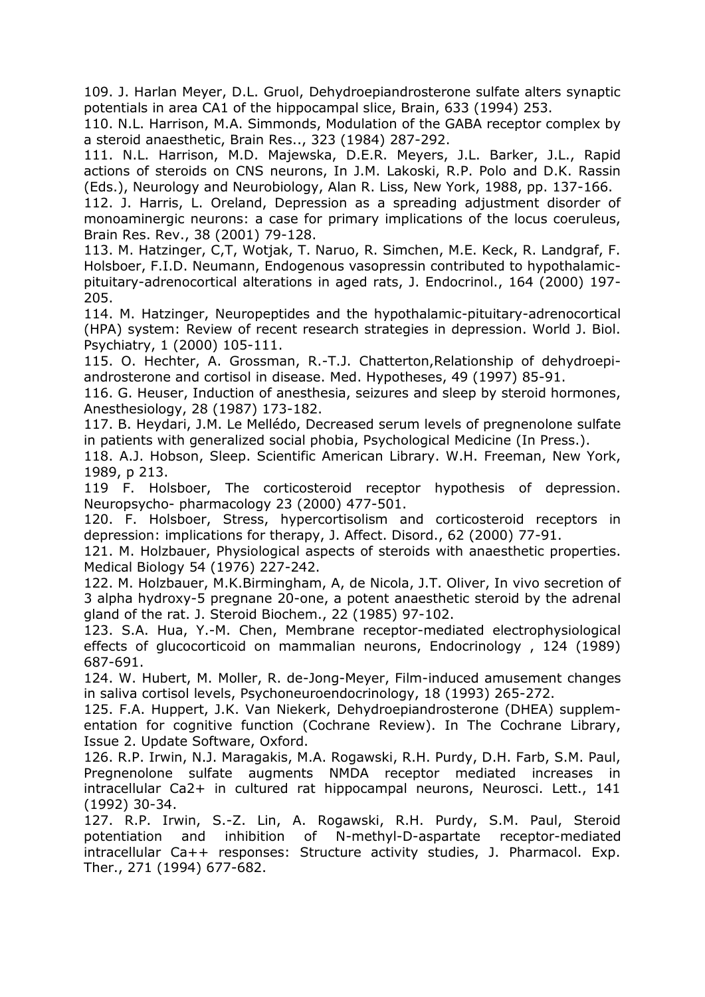109. J. Harlan Meyer, D.L. Gruol, Dehydroepiandrosterone sulfate alters synaptic potentials in area CA1 of the hippocampal slice, Brain, 633 (1994) 253.

110. N.L. Harrison, M.A. Simmonds, Modulation of the GABA receptor complex by a steroid anaesthetic, Brain Res.., 323 (1984) 287-292.

111. N.L. Harrison, M.D. Majewska, D.E.R. Meyers, J.L. Barker, J.L., Rapid actions of steroids on CNS neurons, In J.M. Lakoski, R.P. Polo and D.K. Rassin (Eds.), Neurology and Neurobiology, Alan R. Liss, New York, 1988, pp. 137-166.

112. J. Harris, L. Oreland, Depression as a spreading adjustment disorder of monoaminergic neurons: a case for primary implications of the locus coeruleus, Brain Res. Rev., 38 (2001) 79-128.

113. M. Hatzinger, C,T, Wotjak, T. Naruo, R. Simchen, M.E. Keck, R. Landgraf, F. Holsboer, F.I.D. Neumann, Endogenous vasopressin contributed to hypothalamicpituitary-adrenocortical alterations in aged rats, J. Endocrinol., 164 (2000) 197- 205.

114. M. Hatzinger, Neuropeptides and the hypothalamic-pituitary-adrenocortical (HPA) system: Review of recent research strategies in depression. World J. Biol. Psychiatry, 1 (2000) 105-111.

115. O. Hechter, A. Grossman, R.-T.J. Chatterton,Relationship of dehydroepiandrosterone and cortisol in disease. Med. Hypotheses, 49 (1997) 85-91.

116. G. Heuser, Induction of anesthesia, seizures and sleep by steroid hormones, Anesthesiology, 28 (1987) 173-182.

117. B. Heydari, J.M. Le Mellédo, Decreased serum levels of pregnenolone sulfate in patients with generalized social phobia, Psychological Medicine (In Press.).

118. A.J. Hobson, Sleep. Scientific American Library. W.H. Freeman, New York, 1989, p 213.

119 F. Holsboer, The corticosteroid receptor hypothesis of depression. Neuropsycho- pharmacology 23 (2000) 477-501.

120. F. Holsboer, Stress, hypercortisolism and corticosteroid receptors in depression: implications for therapy, J. Affect. Disord., 62 (2000) 77-91.

121. M. Holzbauer, Physiological aspects of steroids with anaesthetic properties. Medical Biology 54 (1976) 227-242.

122. M. Holzbauer, M.K.Birmingham, A, de Nicola, J.T. Oliver, In vivo secretion of 3 alpha hydroxy-5 pregnane 20-one, a potent anaesthetic steroid by the adrenal gland of the rat. J. Steroid Biochem., 22 (1985) 97-102.

123. S.A. Hua, Y.-M. Chen, Membrane receptor-mediated electrophysiological effects of glucocorticoid on mammalian neurons, Endocrinology , 124 (1989) 687-691.

124. W. Hubert, M. Moller, R. de-Jong-Meyer, Film-induced amusement changes in saliva cortisol levels, Psychoneuroendocrinology, 18 (1993) 265-272.

125. F.A. Huppert, J.K. Van Niekerk, Dehydroepiandrosterone (DHEA) supplementation for cognitive function (Cochrane Review). In The Cochrane Library, Issue 2. Update Software, Oxford.

126. R.P. Irwin, N.J. Maragakis, M.A. Rogawski, R.H. Purdy, D.H. Farb, S.M. Paul, Pregnenolone sulfate augments NMDA receptor mediated increases in intracellular Ca2+ in cultured rat hippocampal neurons, Neurosci. Lett., 141 (1992) 30-34.

127. R.P. Irwin, S.-Z. Lin, A. Rogawski, R.H. Purdy, S.M. Paul, Steroid potentiation and inhibition of N-methyl-D-aspartate receptor-mediated intracellular Ca++ responses: Structure activity studies, J. Pharmacol. Exp. Ther., 271 (1994) 677-682.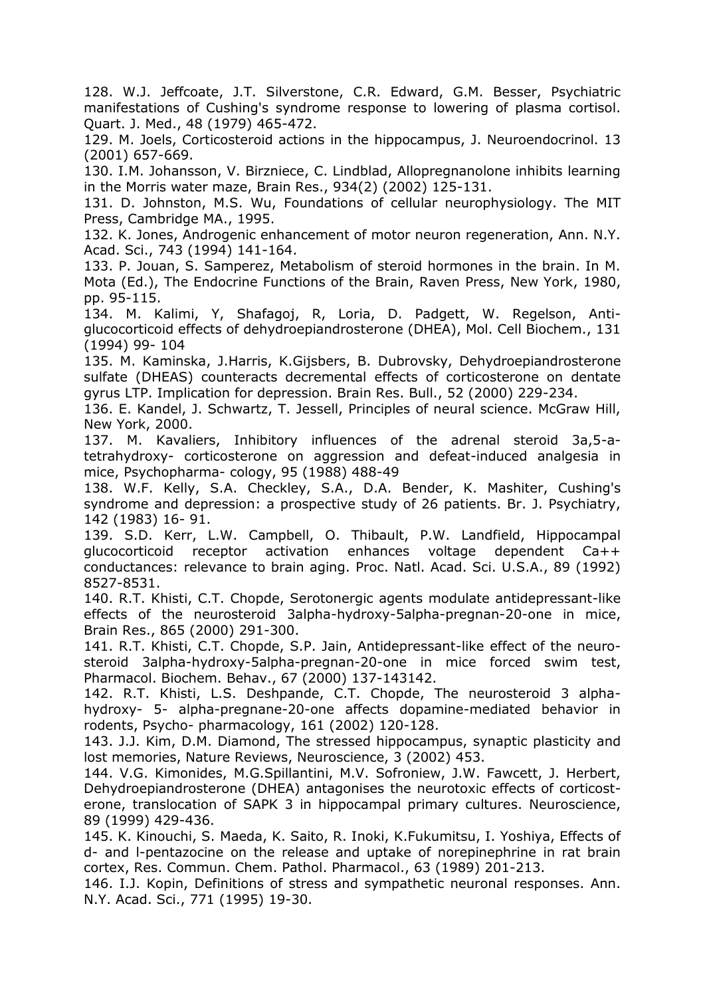128. W.J. Jeffcoate, J.T. Silverstone, C.R. Edward, G.M. Besser, Psychiatric manifestations of Cushing's syndrome response to lowering of plasma cortisol. Quart. J. Med., 48 (1979) 465-472.

129. M. Joels, Corticosteroid actions in the hippocampus, J. Neuroendocrinol. 13 (2001) 657-669.

130. I.M. Johansson, V. Birzniece, C. Lindblad, Allopregnanolone inhibits learning in the Morris water maze, Brain Res., 934(2) (2002) 125-131.

131. D. Johnston, M.S. Wu, Foundations of cellular neurophysiology. The MIT Press, Cambridge MA., 1995.

132. K. Jones, Androgenic enhancement of motor neuron regeneration, Ann. N.Y. Acad. Sci., 743 (1994) 141-164.

133. P. Jouan, S. Samperez, Metabolism of steroid hormones in the brain. In M. Mota (Ed.), The Endocrine Functions of the Brain, Raven Press, New York, 1980, pp. 95-115.

134. M. Kalimi, Y, Shafagoj, R, Loria, D. Padgett, W. Regelson, Antiglucocorticoid effects of dehydroepiandrosterone (DHEA), Mol. Cell Biochem., 131 (1994) 99- 104

135. M. Kaminska, J.Harris, K.Gijsbers, B. Dubrovsky, Dehydroepiandrosterone sulfate (DHEAS) counteracts decremental effects of corticosterone on dentate gyrus LTP. Implication for depression. Brain Res. Bull., 52 (2000) 229-234.

136. E. Kandel, J. Schwartz, T. Jessell, Principles of neural science. McGraw Hill, New York, 2000.

137. M. Kavaliers, Inhibitory influences of the adrenal steroid 3a,5-atetrahydroxy- corticosterone on aggression and defeat-induced analgesia in mice, Psychopharma- cology, 95 (1988) 488-49

138. W.F. Kelly, S.A. Checkley, S.A., D.A. Bender, K. Mashiter, Cushing's syndrome and depression: a prospective study of 26 patients. Br. J. Psychiatry, 142 (1983) 16- 91.

139. S.D. Kerr, L.W. Campbell, O. Thibault, P.W. Landfield, Hippocampal glucocorticoid receptor activation enhances voltage dependent Ca++ conductances: relevance to brain aging. Proc. Natl. Acad. Sci. U.S.A., 89 (1992) 8527-8531.

140. R.T. Khisti, C.T. Chopde, Serotonergic agents modulate antidepressant-like effects of the neurosteroid 3alpha-hydroxy-5alpha-pregnan-20-one in mice, Brain Res., 865 (2000) 291-300.

141. R.T. Khisti, C.T. Chopde, S.P. Jain, Antidepressant-like effect of the neurosteroid 3alpha-hydroxy-5alpha-pregnan-20-one in mice forced swim test, Pharmacol. Biochem. Behav., 67 (2000) 137-143142.

142. R.T. Khisti, L.S. Deshpande, C.T. Chopde, The neurosteroid 3 alphahydroxy- 5- alpha-pregnane-20-one affects dopamine-mediated behavior in rodents, Psycho- pharmacology, 161 (2002) 120-128.

143. J.J. Kim, D.M. Diamond, The stressed hippocampus, synaptic plasticity and lost memories, Nature Reviews, Neuroscience, 3 (2002) 453.

144. V.G. Kimonides, M.G.Spillantini, M.V. Sofroniew, J.W. Fawcett, J. Herbert, Dehydroepiandrosterone (DHEA) antagonises the neurotoxic effects of corticosterone, translocation of SAPK 3 in hippocampal primary cultures. Neuroscience, 89 (1999) 429-436.

145. K. Kinouchi, S. Maeda, K. Saito, R. Inoki, K.Fukumitsu, I. Yoshiya, Effects of d- and l-pentazocine on the release and uptake of norepinephrine in rat brain cortex, Res. Commun. Chem. Pathol. Pharmacol., 63 (1989) 201-213.

146. I.J. Kopin, Definitions of stress and sympathetic neuronal responses. Ann. N.Y. Acad. Sci., 771 (1995) 19-30.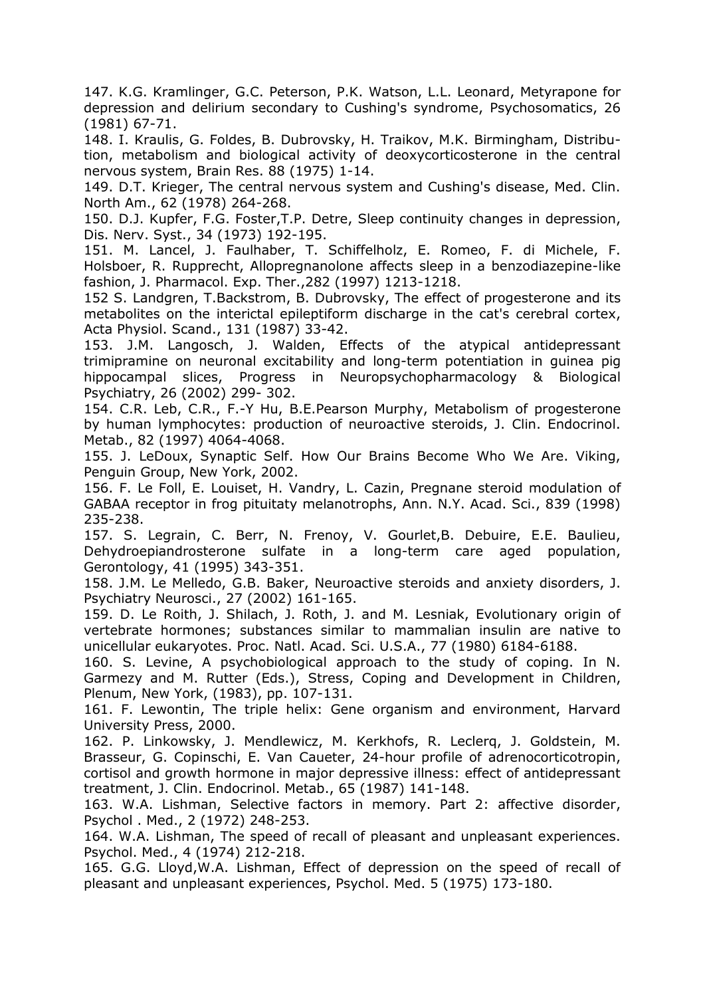147. K.G. Kramlinger, G.C. Peterson, P.K. Watson, L.L. Leonard, Metyrapone for depression and delirium secondary to Cushing's syndrome, Psychosomatics, 26 (1981) 67-71.

148. I. Kraulis, G. Foldes, B. Dubrovsky, H. Traikov, M.K. Birmingham, Distribution, metabolism and biological activity of deoxycorticosterone in the central nervous system, Brain Res. 88 (1975) 1-14.

149. D.T. Krieger, The central nervous system and Cushing's disease, Med. Clin. North Am., 62 (1978) 264-268.

150. D.J. Kupfer, F.G. Foster,T.P. Detre, Sleep continuity changes in depression, Dis. Nerv. Syst., 34 (1973) 192-195.

151. M. Lancel, J. Faulhaber, T. Schiffelholz, E. Romeo, F. di Michele, F. Holsboer, R. Rupprecht, Allopregnanolone affects sleep in a benzodiazepine-like fashion, J. Pharmacol. Exp. Ther.,282 (1997) 1213-1218.

152 S. Landgren, T.Backstrom, B. Dubrovsky, The effect of progesterone and its metabolites on the interictal epileptiform discharge in the cat's cerebral cortex, Acta Physiol. Scand., 131 (1987) 33-42.

153. J.M. Langosch, J. Walden, Effects of the atypical antidepressant trimipramine on neuronal excitability and long-term potentiation in guinea pig hippocampal slices, Progress in Neuropsychopharmacology & Biological Psychiatry, 26 (2002) 299- 302.

154. C.R. Leb, C.R., F.-Y Hu, B.E.Pearson Murphy, Metabolism of progesterone by human lymphocytes: production of neuroactive steroids, J. Clin. Endocrinol. Metab., 82 (1997) 4064-4068.

155. J. LeDoux, Synaptic Self. How Our Brains Become Who We Are. Viking, Penguin Group, New York, 2002.

156. F. Le Foll, E. Louiset, H. Vandry, L. Cazin, Pregnane steroid modulation of GABAA receptor in frog pituitaty melanotrophs, Ann. N.Y. Acad. Sci., 839 (1998) 235-238.

157. S. Legrain, C. Berr, N. Frenoy, V. Gourlet,B. Debuire, E.E. Baulieu, Dehydroepiandrosterone sulfate in a long-term care aged population, Gerontology, 41 (1995) 343-351.

158. J.M. Le Melledo, G.B. Baker, Neuroactive steroids and anxiety disorders, J. Psychiatry Neurosci., 27 (2002) 161-165.

159. D. Le Roith, J. Shilach, J. Roth, J. and M. Lesniak, Evolutionary origin of vertebrate hormones; substances similar to mammalian insulin are native to unicellular eukaryotes. Proc. Natl. Acad. Sci. U.S.A., 77 (1980) 6184-6188.

160. S. Levine, A psychobiological approach to the study of coping. In N. Garmezy and M. Rutter (Eds.), Stress, Coping and Development in Children, Plenum, New York, (1983), pp. 107-131.

161. F. Lewontin, The triple helix: Gene organism and environment, Harvard University Press, 2000.

162. P. Linkowsky, J. Mendlewicz, M. Kerkhofs, R. Leclerq, J. Goldstein, M. Brasseur, G. Copinschi, E. Van Caueter, 24-hour profile of adrenocorticotropin, cortisol and growth hormone in major depressive illness: effect of antidepressant treatment, J. Clin. Endocrinol. Metab., 65 (1987) 141-148.

163. W.A. Lishman, Selective factors in memory. Part 2: affective disorder, Psychol . Med., 2 (1972) 248-253.

164. W.A. Lishman, The speed of recall of pleasant and unpleasant experiences. Psychol. Med., 4 (1974) 212-218.

165. G.G. Lloyd,W.A. Lishman, Effect of depression on the speed of recall of pleasant and unpleasant experiences, Psychol. Med. 5 (1975) 173-180.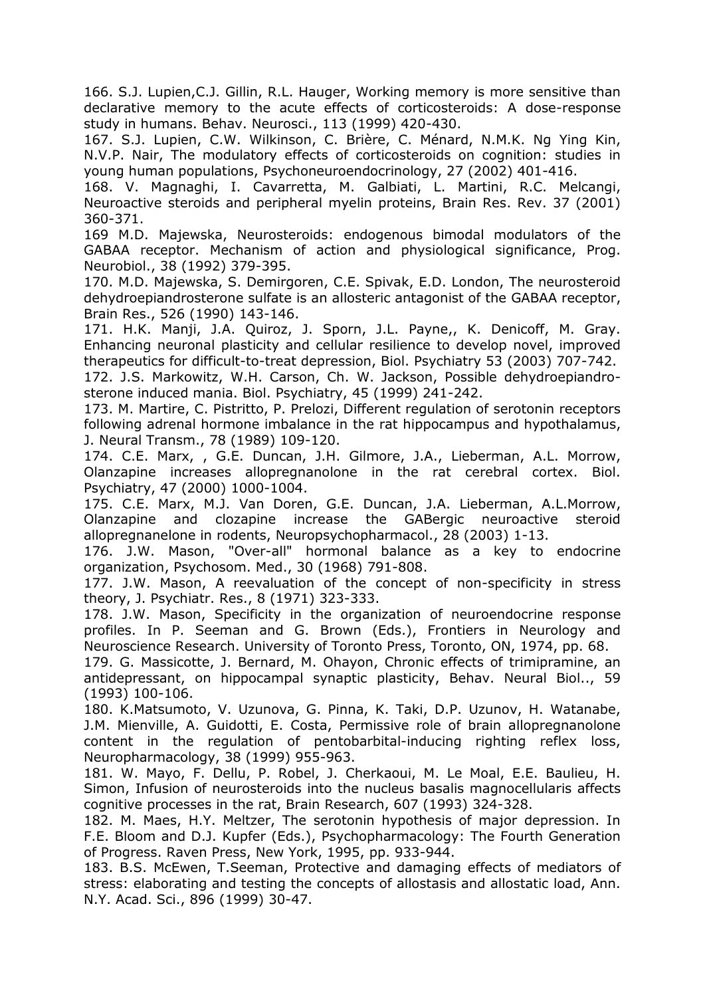166. S.J. Lupien,C.J. Gillin, R.L. Hauger, Working memory is more sensitive than declarative memory to the acute effects of corticosteroids: A dose-response study in humans. Behav. Neurosci., 113 (1999) 420-430.

167. S.J. Lupien, C.W. Wilkinson, C. Brière, C. Ménard, N.M.K. Ng Ying Kin, N.V.P. Nair, The modulatory effects of corticosteroids on cognition: studies in young human populations, Psychoneuroendocrinology, 27 (2002) 401-416.

168. V. Magnaghi, I. Cavarretta, M. Galbiati, L. Martini, R.C. Melcangi, Neuroactive steroids and peripheral myelin proteins, Brain Res. Rev. 37 (2001) 360-371.

169 M.D. Majewska, Neurosteroids: endogenous bimodal modulators of the GABAA receptor. Mechanism of action and physiological significance, Prog. Neurobiol., 38 (1992) 379-395.

170. M.D. Majewska, S. Demirgoren, C.E. Spivak, E.D. London, The neurosteroid dehydroepiandrosterone sulfate is an allosteric antagonist of the GABAA receptor, Brain Res., 526 (1990) 143-146.

171. H.K. Manji, J.A. Quiroz, J. Sporn, J.L. Payne,, K. Denicoff, M. Gray. Enhancing neuronal plasticity and cellular resilience to develop novel, improved therapeutics for difficult-to-treat depression, Biol. Psychiatry 53 (2003) 707-742.

172. J.S. Markowitz, W.H. Carson, Ch. W. Jackson, Possible dehydroepiandrosterone induced mania. Biol. Psychiatry, 45 (1999) 241-242.

173. M. Martire, C. Pistritto, P. Prelozi, Different regulation of serotonin receptors following adrenal hormone imbalance in the rat hippocampus and hypothalamus, J. Neural Transm., 78 (1989) 109-120.

174. C.E. Marx, , G.E. Duncan, J.H. Gilmore, J.A., Lieberman, A.L. Morrow, Olanzapine increases allopregnanolone in the rat cerebral cortex. Biol. Psychiatry, 47 (2000) 1000-1004.

175. C.E. Marx, M.J. Van Doren, G.E. Duncan, J.A. Lieberman, A.L.Morrow, Olanzapine and clozapine increase the GABergic neuroactive steroid allopregnanelone in rodents, Neuropsychopharmacol., 28 (2003) 1-13.

176. J.W. Mason, "Over-all" hormonal balance as a key to endocrine organization, Psychosom. Med., 30 (1968) 791-808.

177. J.W. Mason, A reevaluation of the concept of non-specificity in stress theory, J. Psychiatr. Res., 8 (1971) 323-333.

178. J.W. Mason, Specificity in the organization of neuroendocrine response profiles. In P. Seeman and G. Brown (Eds.), Frontiers in Neurology and Neuroscience Research. University of Toronto Press, Toronto, ON, 1974, pp. 68.

179. G. Massicotte, J. Bernard, M. Ohayon, Chronic effects of trimipramine, an antidepressant, on hippocampal synaptic plasticity, Behav. Neural Biol.., 59 (1993) 100-106.

180. K.Matsumoto, V. Uzunova, G. Pinna, K. Taki, D.P. Uzunov, H. Watanabe, J.M. Mienville, A. Guidotti, E. Costa, Permissive role of brain allopregnanolone content in the regulation of pentobarbital-inducing righting reflex loss, Neuropharmacology, 38 (1999) 955-963.

181. W. Mayo, F. Dellu, P. Robel, J. Cherkaoui, M. Le Moal, E.E. Baulieu, H. Simon, Infusion of neurosteroids into the nucleus basalis magnocellularis affects cognitive processes in the rat, Brain Research, 607 (1993) 324-328.

182. M. Maes, H.Y. Meltzer, The serotonin hypothesis of major depression. In F.E. Bloom and D.J. Kupfer (Eds.), Psychopharmacology: The Fourth Generation of Progress. Raven Press, New York, 1995, pp. 933-944.

183. B.S. McEwen, T.Seeman, Protective and damaging effects of mediators of stress: elaborating and testing the concepts of allostasis and allostatic load, Ann. N.Y. Acad. Sci., 896 (1999) 30-47.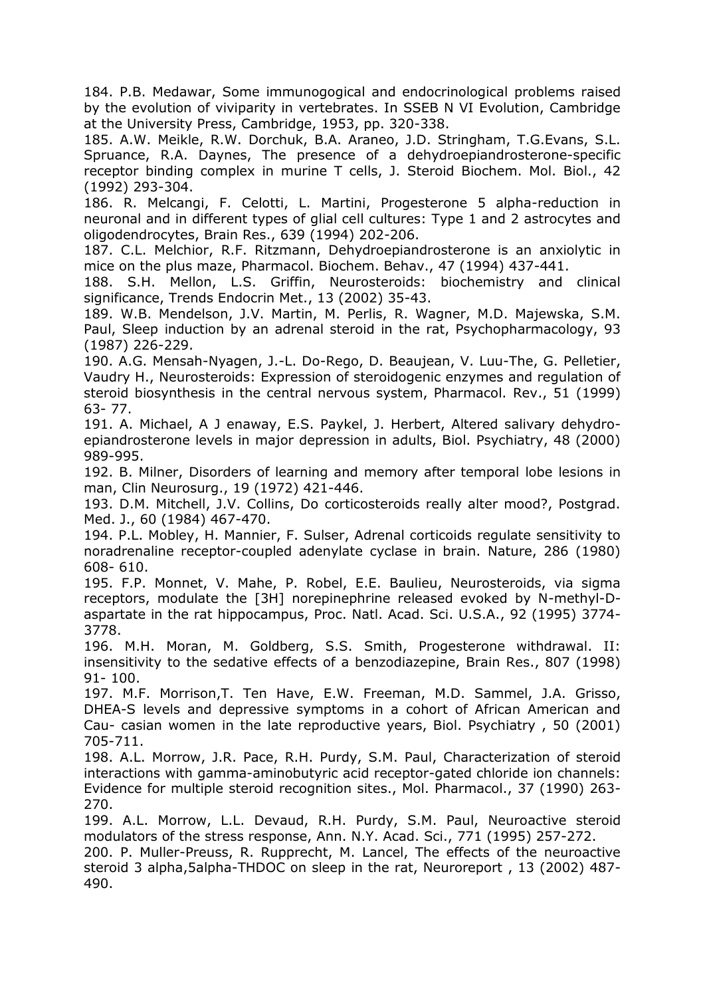184. P.B. Medawar, Some immunogogical and endocrinological problems raised by the evolution of viviparity in vertebrates. In SSEB N VI Evolution, Cambridge at the University Press, Cambridge, 1953, pp. 320-338.

185. A.W. Meikle, R.W. Dorchuk, B.A. Araneo, J.D. Stringham, T.G.Evans, S.L. Spruance, R.A. Daynes, The presence of a dehydroepiandrosterone-specific receptor binding complex in murine T cells, J. Steroid Biochem. Mol. Biol., 42 (1992) 293-304.

186. R. Melcangi, F. Celotti, L. Martini, Progesterone 5 alpha-reduction in neuronal and in different types of glial cell cultures: Type 1 and 2 astrocytes and oligodendrocytes, Brain Res., 639 (1994) 202-206.

187. C.L. Melchior, R.F. Ritzmann, Dehydroepiandrosterone is an anxiolytic in mice on the plus maze, Pharmacol. Biochem. Behav., 47 (1994) 437-441.

188. S.H. Mellon, L.S. Griffin, Neurosteroids: biochemistry and clinical significance, Trends Endocrin Met., 13 (2002) 35-43.

189. W.B. Mendelson, J.V. Martin, M. Perlis, R. Wagner, M.D. Majewska, S.M. Paul, Sleep induction by an adrenal steroid in the rat, Psychopharmacology, 93 (1987) 226-229.

190. A.G. Mensah-Nyagen, J.-L. Do-Rego, D. Beaujean, V. Luu-The, G. Pelletier, Vaudry H., Neurosteroids: Expression of steroidogenic enzymes and regulation of steroid biosynthesis in the central nervous system, Pharmacol. Rev., 51 (1999) 63- 77.

191. A. Michael, A J enaway, E.S. Paykel, J. Herbert, Altered salivary dehydroepiandrosterone levels in major depression in adults, Biol. Psychiatry, 48 (2000) 989-995.

192. B. Milner, Disorders of learning and memory after temporal lobe lesions in man, Clin Neurosurg., 19 (1972) 421-446.

193. D.M. Mitchell, J.V. Collins, Do corticosteroids really alter mood?, Postgrad. Med. J., 60 (1984) 467-470.

194. P.L. Mobley, H. Mannier, F. Sulser, Adrenal corticoids regulate sensitivity to noradrenaline receptor-coupled adenylate cyclase in brain. Nature, 286 (1980) 608- 610.

195. F.P. Monnet, V. Mahe, P. Robel, E.E. Baulieu, Neurosteroids, via sigma receptors, modulate the [3H] norepinephrine released evoked by N-methyl-Daspartate in the rat hippocampus, Proc. Natl. Acad. Sci. U.S.A., 92 (1995) 3774- 3778.

196. M.H. Moran, M. Goldberg, S.S. Smith, Progesterone withdrawal. II: insensitivity to the sedative effects of a benzodiazepine, Brain Res., 807 (1998) 91- 100.

197. M.F. Morrison,T. Ten Have, E.W. Freeman, M.D. Sammel, J.A. Grisso, DHEA-S levels and depressive symptoms in a cohort of African American and Cau- casian women in the late reproductive years, Biol. Psychiatry , 50 (2001) 705-711.

198. A.L. Morrow, J.R. Pace, R.H. Purdy, S.M. Paul, Characterization of steroid interactions with gamma-aminobutyric acid receptor-gated chloride ion channels: Evidence for multiple steroid recognition sites., Mol. Pharmacol., 37 (1990) 263- 270.

199. A.L. Morrow, L.L. Devaud, R.H. Purdy, S.M. Paul, Neuroactive steroid modulators of the stress response, Ann. N.Y. Acad. Sci., 771 (1995) 257-272.

200. P. Muller-Preuss, R. Rupprecht, M. Lancel, The effects of the neuroactive steroid 3 alpha,5alpha-THDOC on sleep in the rat, Neuroreport , 13 (2002) 487- 490.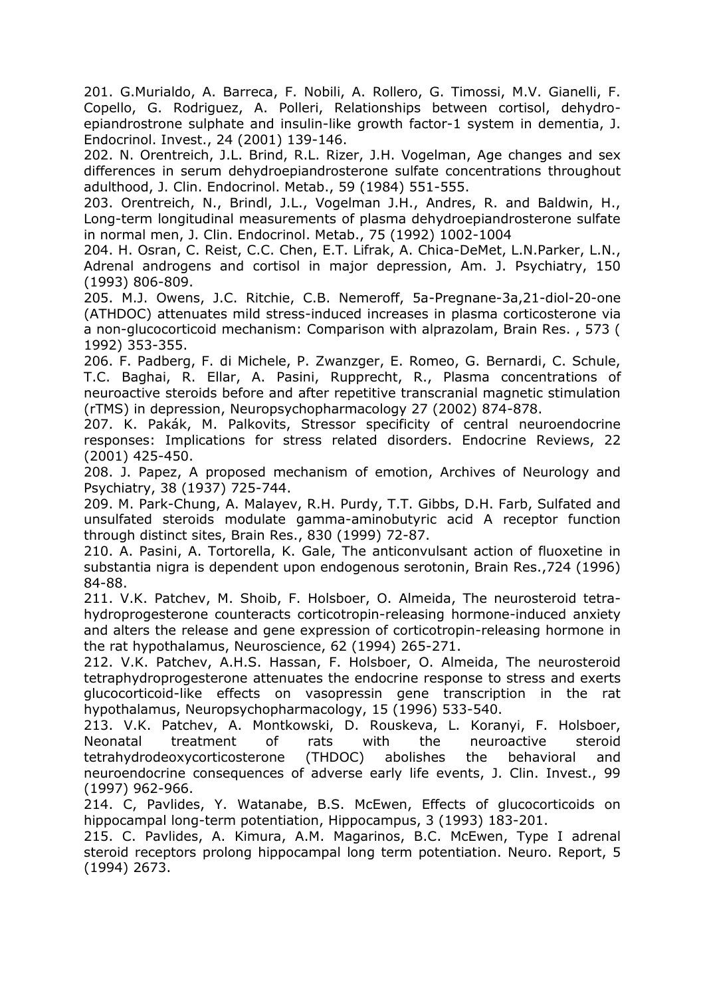201. G.Murialdo, A. Barreca, F. Nobili, A. Rollero, G. Timossi, M.V. Gianelli, F. Copello, G. Rodriguez, A. Polleri, Relationships between cortisol, dehydroepiandrostrone sulphate and insulin-like growth factor-1 system in dementia, J. Endocrinol. Invest., 24 (2001) 139-146.

202. N. Orentreich, J.L. Brind, R.L. Rizer, J.H. Vogelman, Age changes and sex differences in serum dehydroepiandrosterone sulfate concentrations throughout adulthood, J. Clin. Endocrinol. Metab., 59 (1984) 551-555.

203. Orentreich, N., Brindl, J.L., Vogelman J.H., Andres, R. and Baldwin, H., Long-term longitudinal measurements of plasma dehydroepiandrosterone sulfate in normal men, J. Clin. Endocrinol. Metab., 75 (1992) 1002-1004

204. H. Osran, C. Reist, C.C. Chen, E.T. Lifrak, A. Chica-DeMet, L.N.Parker, L.N., Adrenal androgens and cortisol in major depression, Am. J. Psychiatry, 150 (1993) 806-809.

205. M.J. Owens, J.C. Ritchie, C.B. Nemeroff, 5a-Pregnane-3a,21-diol-20-one (ATHDOC) attenuates mild stress-induced increases in plasma corticosterone via a non-glucocorticoid mechanism: Comparison with alprazolam, Brain Res. , 573 ( 1992) 353-355.

206. F. Padberg, F. di Michele, P. Zwanzger, E. Romeo, G. Bernardi, C. Schule, T.C. Baghai, R. Ellar, A. Pasini, Rupprecht, R., Plasma concentrations of neuroactive steroids before and after repetitive transcranial magnetic stimulation (rTMS) in depression, Neuropsychopharmacology 27 (2002) 874-878.

207. K. Pakák, M. Palkovits, Stressor specificity of central neuroendocrine responses: Implications for stress related disorders. Endocrine Reviews, 22 (2001) 425-450.

208. J. Papez, A proposed mechanism of emotion, Archives of Neurology and Psychiatry, 38 (1937) 725-744.

209. M. Park-Chung, A. Malayev, R.H. Purdy, T.T. Gibbs, D.H. Farb, Sulfated and unsulfated steroids modulate gamma-aminobutyric acid A receptor function through distinct sites, Brain Res., 830 (1999) 72-87.

210. A. Pasini, A. Tortorella, K. Gale, The anticonvulsant action of fluoxetine in substantia nigra is dependent upon endogenous serotonin, Brain Res.,724 (1996) 84-88.

211. V.K. Patchev, M. Shoib, F. Holsboer, O. Almeida, The neurosteroid tetrahydroprogesterone counteracts corticotropin-releasing hormone-induced anxiety and alters the release and gene expression of corticotropin-releasing hormone in the rat hypothalamus, Neuroscience, 62 (1994) 265-271.

212. V.K. Patchev, A.H.S. Hassan, F. Holsboer, O. Almeida, The neurosteroid tetraphydroprogesterone attenuates the endocrine response to stress and exerts glucocorticoid-like effects on vasopressin gene transcription in the rat hypothalamus, Neuropsychopharmacology, 15 (1996) 533-540.

213. V.K. Patchev, A. Montkowski, D. Rouskeva, L. Koranyi, F. Holsboer, Neonatal treatment of rats with the neuroactive steroid tetrahydrodeoxycorticosterone (THDOC) abolishes the behavioral and neuroendocrine consequences of adverse early life events, J. Clin. Invest., 99 (1997) 962-966.

214. C, Pavlides, Y. Watanabe, B.S. McEwen, Effects of glucocorticoids on hippocampal long-term potentiation, Hippocampus, 3 (1993) 183-201.

215. C. Pavlides, A. Kimura, A.M. Magarinos, B.C. McEwen, Type I adrenal steroid receptors prolong hippocampal long term potentiation. Neuro. Report, 5 (1994) 2673.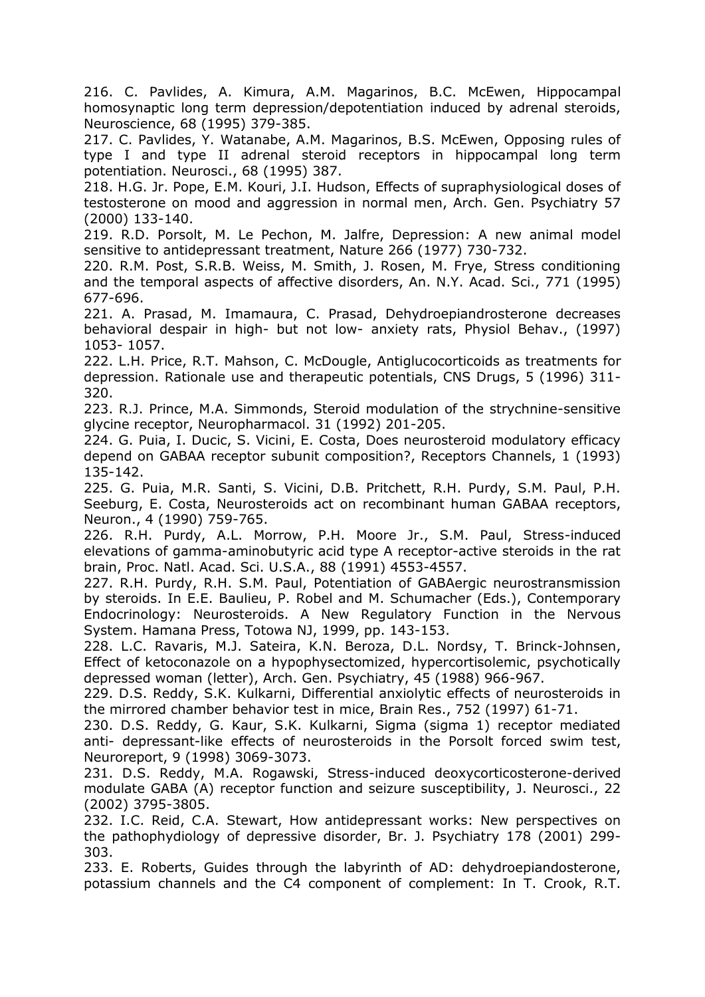216. C. Pavlides, A. Kimura, A.M. Magarinos, B.C. McEwen, Hippocampal homosynaptic long term depression/depotentiation induced by adrenal steroids, Neuroscience, 68 (1995) 379-385.

217. C. Pavlides, Y. Watanabe, A.M. Magarinos, B.S. McEwen, Opposing rules of type I and type II adrenal steroid receptors in hippocampal long term potentiation. Neurosci., 68 (1995) 387.

218. H.G. Jr. Pope, E.M. Kouri, J.I. Hudson, Effects of supraphysiological doses of testosterone on mood and aggression in normal men, Arch. Gen. Psychiatry 57 (2000) 133-140.

219. R.D. Porsolt, M. Le Pechon, M. Jalfre, Depression: A new animal model sensitive to antidepressant treatment, Nature 266 (1977) 730-732.

220. R.M. Post, S.R.B. Weiss, M. Smith, J. Rosen, M. Frye, Stress conditioning and the temporal aspects of affective disorders, An. N.Y. Acad. Sci., 771 (1995) 677-696.

221. A. Prasad, M. Imamaura, C. Prasad, Dehydroepiandrosterone decreases behavioral despair in high- but not low- anxiety rats, Physiol Behav., (1997) 1053- 1057.

222. L.H. Price, R.T. Mahson, C. McDougle, Antiglucocorticoids as treatments for depression. Rationale use and therapeutic potentials, CNS Drugs, 5 (1996) 311- 320.

223. R.J. Prince, M.A. Simmonds, Steroid modulation of the strychnine-sensitive glycine receptor, Neuropharmacol. 31 (1992) 201-205.

224. G. Puia, I. Ducic, S. Vicini, E. Costa, Does neurosteroid modulatory efficacy depend on GABAA receptor subunit composition?, Receptors Channels, 1 (1993) 135-142.

225. G. Puia, M.R. Santi, S. Vicini, D.B. Pritchett, R.H. Purdy, S.M. Paul, P.H. Seeburg, E. Costa, Neurosteroids act on recombinant human GABAA receptors, Neuron., 4 (1990) 759-765.

226. R.H. Purdy, A.L. Morrow, P.H. Moore Jr., S.M. Paul, Stress-induced elevations of gamma-aminobutyric acid type A receptor-active steroids in the rat brain, Proc. Natl. Acad. Sci. U.S.A., 88 (1991) 4553-4557.

227. R.H. Purdy, R.H. S.M. Paul, Potentiation of GABAergic neurostransmission by steroids. In E.E. Baulieu, P. Robel and M. Schumacher (Eds.), Contemporary Endocrinology: Neurosteroids. A New Regulatory Function in the Nervous System. Hamana Press, Totowa NJ, 1999, pp. 143-153.

228. L.C. Ravaris, M.J. Sateira, K.N. Beroza, D.L. Nordsy, T. Brinck-Johnsen, Effect of ketoconazole on a hypophysectomized, hypercortisolemic, psychotically depressed woman (letter), Arch. Gen. Psychiatry, 45 (1988) 966-967.

229. D.S. Reddy, S.K. Kulkarni, Differential anxiolytic effects of neurosteroids in the mirrored chamber behavior test in mice, Brain Res., 752 (1997) 61-71.

230. D.S. Reddy, G. Kaur, S.K. Kulkarni, Sigma (sigma 1) receptor mediated anti- depressant-like effects of neurosteroids in the Porsolt forced swim test, Neuroreport, 9 (1998) 3069-3073.

231. D.S. Reddy, M.A. Rogawski, Stress-induced deoxycorticosterone-derived modulate GABA (A) receptor function and seizure susceptibility, J. Neurosci., 22 (2002) 3795-3805.

232. I.C. Reid, C.A. Stewart, How antidepressant works: New perspectives on the pathophydiology of depressive disorder, Br. J. Psychiatry 178 (2001) 299- 303.

233. E. Roberts, Guides through the labyrinth of AD: dehydroepiandosterone, potassium channels and the C4 component of complement: In T. Crook, R.T.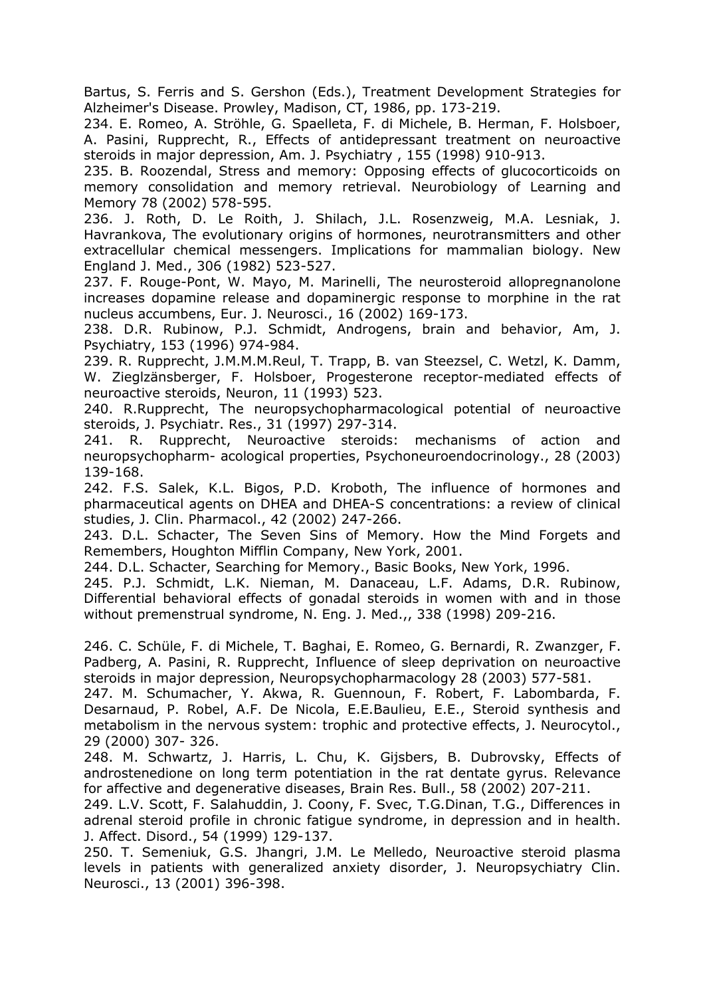Bartus, S. Ferris and S. Gershon (Eds.), Treatment Development Strategies for Alzheimer's Disease. Prowley, Madison, CT, 1986, pp. 173-219.

234. E. Romeo, A. Ströhle, G. Spaelleta, F. di Michele, B. Herman, F. Holsboer, A. Pasini, Rupprecht, R., Effects of antidepressant treatment on neuroactive steroids in major depression, Am. J. Psychiatry , 155 (1998) 910-913.

235. B. Roozendal, Stress and memory: Opposing effects of glucocorticoids on memory consolidation and memory retrieval. Neurobiology of Learning and Memory 78 (2002) 578-595.

236. J. Roth, D. Le Roith, J. Shilach, J.L. Rosenzweig, M.A. Lesniak, J. Havrankova, The evolutionary origins of hormones, neurotransmitters and other extracellular chemical messengers. Implications for mammalian biology. New England J. Med., 306 (1982) 523-527.

237. F. Rouge-Pont, W. Mayo, M. Marinelli, The neurosteroid allopregnanolone increases dopamine release and dopaminergic response to morphine in the rat nucleus accumbens, Eur. J. Neurosci., 16 (2002) 169-173.

238. D.R. Rubinow, P.J. Schmidt, Androgens, brain and behavior, Am, J. Psychiatry, 153 (1996) 974-984.

239. R. Rupprecht, J.M.M.M.Reul, T. Trapp, B. van Steezsel, C. Wetzl, K. Damm, W. Zieglzänsberger, F. Holsboer, Progesterone receptor-mediated effects of neuroactive steroids, Neuron, 11 (1993) 523.

240. R.Rupprecht, The neuropsychopharmacological potential of neuroactive steroids, J. Psychiatr. Res., 31 (1997) 297-314.

241. R. Rupprecht, Neuroactive steroids: mechanisms of action and neuropsychopharm- acological properties, Psychoneuroendocrinology., 28 (2003) 139-168.

242. F.S. Salek, K.L. Bigos, P.D. Kroboth, The influence of hormones and pharmaceutical agents on DHEA and DHEA-S concentrations: a review of clinical studies, J. Clin. Pharmacol., 42 (2002) 247-266.

243. D.L. Schacter, The Seven Sins of Memory. How the Mind Forgets and Remembers, Houghton Mifflin Company, New York, 2001.

244. D.L. Schacter, Searching for Memory., Basic Books, New York, 1996.

245. P.J. Schmidt, L.K. Nieman, M. Danaceau, L.F. Adams, D.R. Rubinow, Differential behavioral effects of gonadal steroids in women with and in those without premenstrual syndrome, N. Eng. J. Med.,, 338 (1998) 209-216.

246. C. Schüle, F. di Michele, T. Baghai, E. Romeo, G. Bernardi, R. Zwanzger, F. Padberg, A. Pasini, R. Rupprecht, Influence of sleep deprivation on neuroactive steroids in major depression, Neuropsychopharmacology 28 (2003) 577-581.

247. M. Schumacher, Y. Akwa, R. Guennoun, F. Robert, F. Labombarda, F. Desarnaud, P. Robel, A.F. De Nicola, E.E.Baulieu, E.E., Steroid synthesis and metabolism in the nervous system: trophic and protective effects, J. Neurocytol., 29 (2000) 307- 326.

248. M. Schwartz, J. Harris, L. Chu, K. Gijsbers, B. Dubrovsky, Effects of androstenedione on long term potentiation in the rat dentate gyrus. Relevance for affective and degenerative diseases, Brain Res. Bull., 58 (2002) 207-211.

249. L.V. Scott, F. Salahuddin, J. Coony, F. Svec, T.G.Dinan, T.G., Differences in adrenal steroid profile in chronic fatigue syndrome, in depression and in health. J. Affect. Disord., 54 (1999) 129-137.

250. T. Semeniuk, G.S. Jhangri, J.M. Le Melledo, Neuroactive steroid plasma levels in patients with generalized anxiety disorder, J. Neuropsychiatry Clin. Neurosci., 13 (2001) 396-398.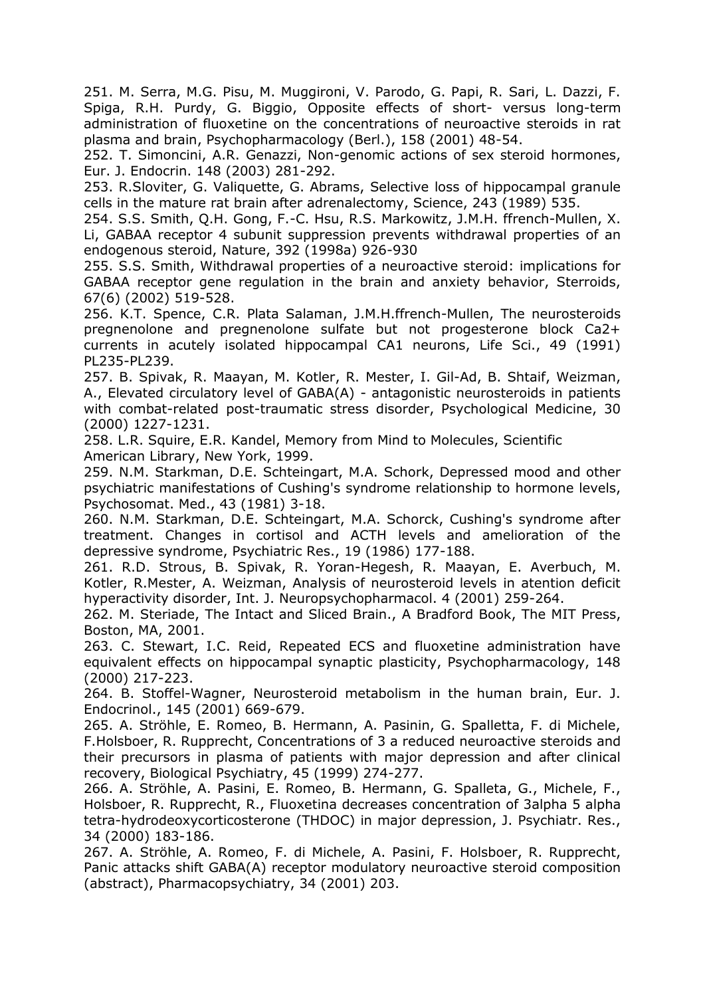251. M. Serra, M.G. Pisu, M. Muggironi, V. Parodo, G. Papi, R. Sari, L. Dazzi, F. Spiga, R.H. Purdy, G. Biggio, Opposite effects of short- versus long-term administration of fluoxetine on the concentrations of neuroactive steroids in rat plasma and brain, Psychopharmacology (Berl.), 158 (2001) 48-54.

252. T. Simoncini, A.R. Genazzi, Non-genomic actions of sex steroid hormones, Eur. J. Endocrin. 148 (2003) 281-292.

253. R.Sloviter, G. Valiquette, G. Abrams, Selective loss of hippocampal granule cells in the mature rat brain after adrenalectomy, Science, 243 (1989) 535.

254. S.S. Smith, Q.H. Gong, F.-C. Hsu, R.S. Markowitz, J.M.H. ffrench-Mullen, X. Li, GABAA receptor 4 subunit suppression prevents withdrawal properties of an endogenous steroid, Nature, 392 (1998a) 926-930

255. S.S. Smith, Withdrawal properties of a neuroactive steroid: implications for GABAA receptor gene regulation in the brain and anxiety behavior, Sterroids, 67(6) (2002) 519-528.

256. K.T. Spence, C.R. Plata Salaman, J.M.H.ffrench-Mullen, The neurosteroids pregnenolone and pregnenolone sulfate but not progesterone block Ca2+ currents in acutely isolated hippocampal CA1 neurons, Life Sci., 49 (1991) PL235-PL239.

257. B. Spivak, R. Maayan, M. Kotler, R. Mester, I. Gil-Ad, B. Shtaif, Weizman, A., Elevated circulatory level of GABA(A) - antagonistic neurosteroids in patients with combat-related post-traumatic stress disorder, Psychological Medicine, 30 (2000) 1227-1231.

258. L.R. Squire, E.R. Kandel, Memory from Mind to Molecules, Scientific American Library, New York, 1999.

259. N.M. Starkman, D.E. Schteingart, M.A. Schork, Depressed mood and other psychiatric manifestations of Cushing's syndrome relationship to hormone levels, Psychosomat. Med., 43 (1981) 3-18.

260. N.M. Starkman, D.E. Schteingart, M.A. Schorck, Cushing's syndrome after treatment. Changes in cortisol and ACTH levels and amelioration of the depressive syndrome, Psychiatric Res., 19 (1986) 177-188.

261. R.D. Strous, B. Spivak, R. Yoran-Hegesh, R. Maayan, E. Averbuch, M. Kotler, R.Mester, A. Weizman, Analysis of neurosteroid levels in atention deficit hyperactivity disorder, Int. J. Neuropsychopharmacol. 4 (2001) 259-264.

262. M. Steriade, The Intact and Sliced Brain., A Bradford Book, The MIT Press, Boston, MA, 2001.

263. C. Stewart, I.C. Reid, Repeated ECS and fluoxetine administration have equivalent effects on hippocampal synaptic plasticity, Psychopharmacology, 148 (2000) 217-223.

264. B. Stoffel-Wagner, Neurosteroid metabolism in the human brain, Eur. J. Endocrinol., 145 (2001) 669-679.

265. A. Ströhle, E. Romeo, B. Hermann, A. Pasinin, G. Spalletta, F. di Michele, F.Holsboer, R. Rupprecht, Concentrations of 3 a reduced neuroactive steroids and their precursors in plasma of patients with major depression and after clinical recovery, Biological Psychiatry, 45 (1999) 274-277.

266. A. Ströhle, A. Pasini, E. Romeo, B. Hermann, G. Spalleta, G., Michele, F., Holsboer, R. Rupprecht, R., Fluoxetina decreases concentration of 3alpha 5 alpha tetra-hydrodeoxycorticosterone (THDOC) in major depression, J. Psychiatr. Res., 34 (2000) 183-186.

267. A. Ströhle, A. Romeo, F. di Michele, A. Pasini, F. Holsboer, R. Rupprecht, Panic attacks shift GABA(A) receptor modulatory neuroactive steroid composition (abstract), Pharmacopsychiatry, 34 (2001) 203.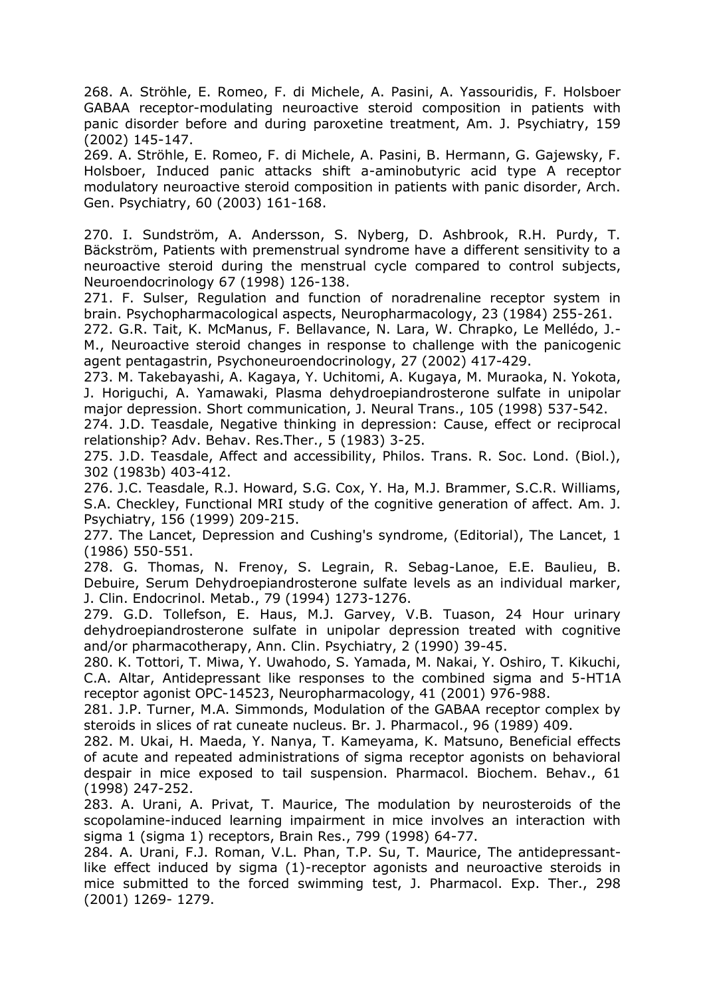268. A. Ströhle, E. Romeo, F. di Michele, A. Pasini, A. Yassouridis, F. Holsboer GABAA receptor-modulating neuroactive steroid composition in patients with panic disorder before and during paroxetine treatment, Am. J. Psychiatry, 159 (2002) 145-147.

269. A. Ströhle, E. Romeo, F. di Michele, A. Pasini, B. Hermann, G. Gajewsky, F. Holsboer, Induced panic attacks shift a-aminobutyric acid type A receptor modulatory neuroactive steroid composition in patients with panic disorder, Arch. Gen. Psychiatry, 60 (2003) 161-168.

270. I. Sundström, A. Andersson, S. Nyberg, D. Ashbrook, R.H. Purdy, T. Bäckström, Patients with premenstrual syndrome have a different sensitivity to a neuroactive steroid during the menstrual cycle compared to control subjects, Neuroendocrinology 67 (1998) 126-138.

271. F. Sulser, Regulation and function of noradrenaline receptor system in brain. Psychopharmacological aspects, Neuropharmacology, 23 (1984) 255-261.

272. G.R. Tait, K. McManus, F. Bellavance, N. Lara, W. Chrapko, Le Mellédo, J.- M., Neuroactive steroid changes in response to challenge with the panicogenic agent pentagastrin, Psychoneuroendocrinology, 27 (2002) 417-429.

273. M. Takebayashi, A. Kagaya, Y. Uchitomi, A. Kugaya, M. Muraoka, N. Yokota, J. Horiguchi, A. Yamawaki, Plasma dehydroepiandrosterone sulfate in unipolar major depression. Short communication, J. Neural Trans., 105 (1998) 537-542.

274. J.D. Teasdale, Negative thinking in depression: Cause, effect or reciprocal relationship? Adv. Behav. Res.Ther., 5 (1983) 3-25.

275. J.D. Teasdale, Affect and accessibility, Philos. Trans. R. Soc. Lond. (Biol.), 302 (1983b) 403-412.

276. J.C. Teasdale, R.J. Howard, S.G. Cox, Y. Ha, M.J. Brammer, S.C.R. Williams, S.A. Checkley, Functional MRI study of the cognitive generation of affect. Am. J. Psychiatry, 156 (1999) 209-215.

277. The Lancet, Depression and Cushing's syndrome, (Editorial), The Lancet, 1 (1986) 550-551.

278. G. Thomas, N. Frenoy, S. Legrain, R. Sebag-Lanoe, E.E. Baulieu, B. Debuire, Serum Dehydroepiandrosterone sulfate levels as an individual marker, J. Clin. Endocrinol. Metab., 79 (1994) 1273-1276.

279. G.D. Tollefson, E. Haus, M.J. Garvey, V.B. Tuason, 24 Hour urinary dehydroepiandrosterone sulfate in unipolar depression treated with cognitive and/or pharmacotherapy, Ann. Clin. Psychiatry, 2 (1990) 39-45.

280. K. Tottori, T. Miwa, Y. Uwahodo, S. Yamada, M. Nakai, Y. Oshiro, T. Kikuchi, C.A. Altar, Antidepressant like responses to the combined sigma and 5-HT1A receptor agonist OPC-14523, Neuropharmacology, 41 (2001) 976-988.

281. J.P. Turner, M.A. Simmonds, Modulation of the GABAA receptor complex by steroids in slices of rat cuneate nucleus. Br. J. Pharmacol., 96 (1989) 409.

282. M. Ukai, H. Maeda, Y. Nanya, T. Kameyama, K. Matsuno, Beneficial effects of acute and repeated administrations of sigma receptor agonists on behavioral despair in mice exposed to tail suspension. Pharmacol. Biochem. Behav., 61 (1998) 247-252.

283. A. Urani, A. Privat, T. Maurice, The modulation by neurosteroids of the scopolamine-induced learning impairment in mice involves an interaction with sigma 1 (sigma 1) receptors, Brain Res., 799 (1998) 64-77.

284. A. Urani, F.J. Roman, V.L. Phan, T.P. Su, T. Maurice, The antidepressantlike effect induced by sigma (1)-receptor agonists and neuroactive steroids in mice submitted to the forced swimming test, J. Pharmacol. Exp. Ther., 298 (2001) 1269- 1279.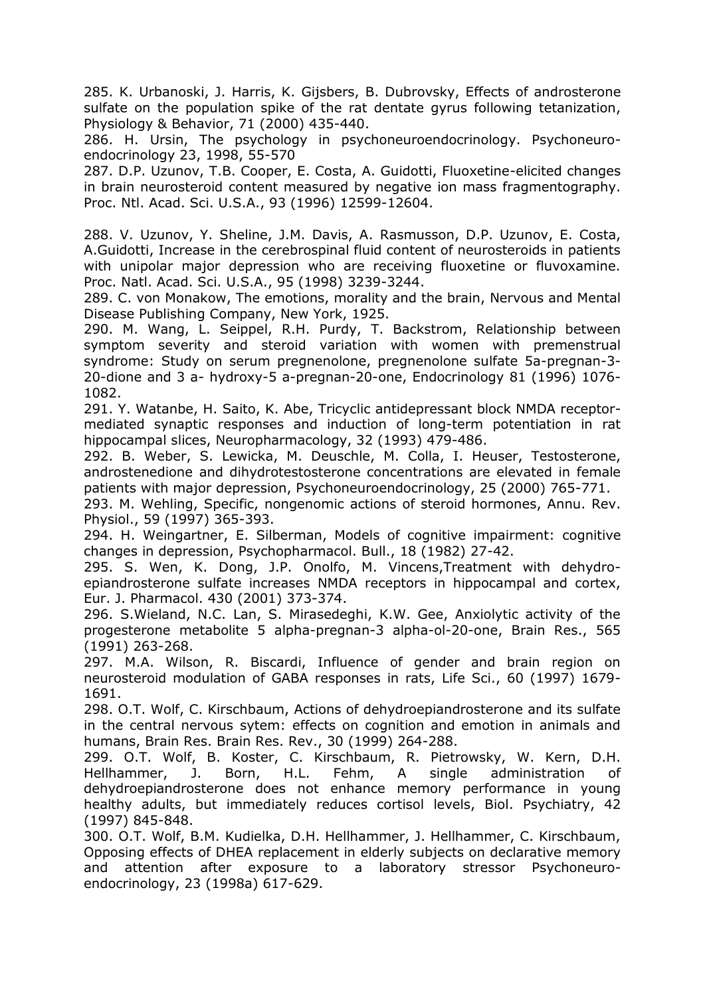285. K. Urbanoski, J. Harris, K. Gijsbers, B. Dubrovsky, Effects of androsterone sulfate on the population spike of the rat dentate gyrus following tetanization, Physiology & Behavior, 71 (2000) 435-440.

286. H. Ursin, The psychology in psychoneuroendocrinology. Psychoneuroendocrinology 23, 1998, 55-570

287. D.P. Uzunov, T.B. Cooper, E. Costa, A. Guidotti, Fluoxetine-elicited changes in brain neurosteroid content measured by negative ion mass fragmentography. Proc. Ntl. Acad. Sci. U.S.A., 93 (1996) 12599-12604.

288. V. Uzunov, Y. Sheline, J.M. Davis, A. Rasmusson, D.P. Uzunov, E. Costa, A.Guidotti, Increase in the cerebrospinal fluid content of neurosteroids in patients with unipolar major depression who are receiving fluoxetine or fluvoxamine. Proc. Natl. Acad. Sci. U.S.A., 95 (1998) 3239-3244.

289. C. von Monakow, The emotions, morality and the brain, Nervous and Mental Disease Publishing Company, New York, 1925.

290. M. Wang, L. Seippel, R.H. Purdy, T. Backstrom, Relationship between symptom severity and steroid variation with women with premenstrual syndrome: Study on serum pregnenolone, pregnenolone sulfate 5a-pregnan-3- 20-dione and 3 a- hydroxy-5 a-pregnan-20-one, Endocrinology 81 (1996) 1076- 1082.

291. Y. Watanbe, H. Saito, K. Abe, Tricyclic antidepressant block NMDA receptormediated synaptic responses and induction of long-term potentiation in rat hippocampal slices, Neuropharmacology, 32 (1993) 479-486.

292. B. Weber, S. Lewicka, M. Deuschle, M. Colla, I. Heuser, Testosterone, androstenedione and dihydrotestosterone concentrations are elevated in female patients with major depression, Psychoneuroendocrinology, 25 (2000) 765-771.

293. M. Wehling, Specific, nongenomic actions of steroid hormones, Annu. Rev. Physiol., 59 (1997) 365-393.

294. H. Weingartner, E. Silberman, Models of cognitive impairment: cognitive changes in depression, Psychopharmacol. Bull., 18 (1982) 27-42.

295. S. Wen, K. Dong, J.P. Onolfo, M. Vincens,Treatment with dehydroepiandrosterone sulfate increases NMDA receptors in hippocampal and cortex, Eur. J. Pharmacol. 430 (2001) 373-374.

296. S.Wieland, N.C. Lan, S. Mirasedeghi, K.W. Gee, Anxiolytic activity of the progesterone metabolite 5 alpha-pregnan-3 alpha-ol-20-one, Brain Res., 565 (1991) 263-268.

297. M.A. Wilson, R. Biscardi, Influence of gender and brain region on neurosteroid modulation of GABA responses in rats, Life Sci., 60 (1997) 1679- 1691.

298. O.T. Wolf, C. Kirschbaum, Actions of dehydroepiandrosterone and its sulfate in the central nervous sytem: effects on cognition and emotion in animals and humans, Brain Res. Brain Res. Rev., 30 (1999) 264-288.

299. O.T. Wolf, B. Koster, C. Kirschbaum, R. Pietrowsky, W. Kern, D.H. Hellhammer, J. Born, H.L. Fehm, A single administration of dehydroepiandrosterone does not enhance memory performance in young healthy adults, but immediately reduces cortisol levels, Biol. Psychiatry, 42 (1997) 845-848.

300. O.T. Wolf, B.M. Kudielka, D.H. Hellhammer, J. Hellhammer, C. Kirschbaum, Opposing effects of DHEA replacement in elderly subjects on declarative memory and attention after exposure to a laboratory stressor Psychoneuroendocrinology, 23 (1998a) 617-629.